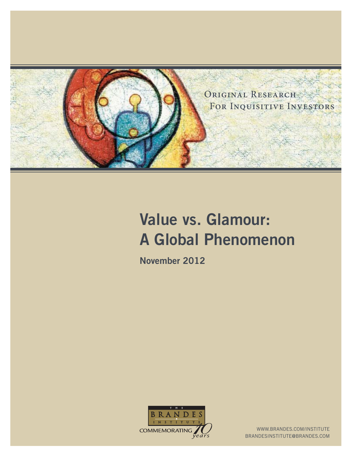

# **Value vs. Glamour: A Global Phenomenon**

**November 2012**



WWW.BRANDES.COM/INSTITUTE BRANDESINSTITUTE@BRANDES.COM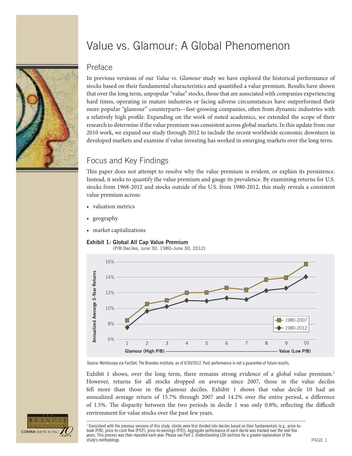

# Value vs. Glamour: A Global Phenomenon

### Preface

In previous versions of our *Value vs. Glamour* study we have explored the historical performance of stocks based on their fundamental characteristics and quantified a value premium. Results have shown that over the long term, unpopular "value" stocks, those that are associated with companies experiencing hard times, operating in mature industries or facing adverse circumstances have outperformed their more popular "glamour" counterparts—fast-growing companies, often from dynamic industries with a relatively high profile. Expanding on the work of noted academics, we extended the scope of their research to determine if the value premium was consistent across global markets. In this update from our 2010 work, we expand our study through 2012 to include the recent worldwide economic downturn in developed markets and examine if value investing has worked in emerging markets over the long term.

# Focus and Key Findings

This paper does not attempt to resolve why the value premium is evident, or explain its persistence. Instead, it seeks to quantify the value premium and gauge its prevalence. By examining returns for U.S. stocks from 1968-2012 and stocks outside of the U.S. from 1980-2012, this study reveals a consistent value premium across:

- valuation metrics
- geography
- market capitalizations







Source: Worldscope via FactSet, The Brandes Institute; as of 6/30/2012. Past performance is not a guarantee of future results.

Exhibit 1 shows, over the long term, there remains strong evidence of a global value premium.<sup>1</sup> However, returns for all stocks dropped on average since 2007, those in the value deciles fell more than those in the glamour deciles. Exhibit 1 shows that value decile 10 had an annualized average return of 15.7% through 2007 and 14.2% over the entire period, a difference of 1.5%. The disparity between the two periods in decile 1 was only 0.8%; reflecting the difficult environment for value stocks over the past few years.



 $^{\rm 1}$  Consistent with the previous versions of this study, stocks were first divided into deciles based on their fundamentals (e.g., price-tobook (P/B), price-to-cash flow (P/CF), price-to-earnings (P/E)). Aggregate performance of each decile was tracked over the next five years. This process was then repeated each year. Please see Part 1: Understanding LSV sections for a greater explanation of the study's methodology.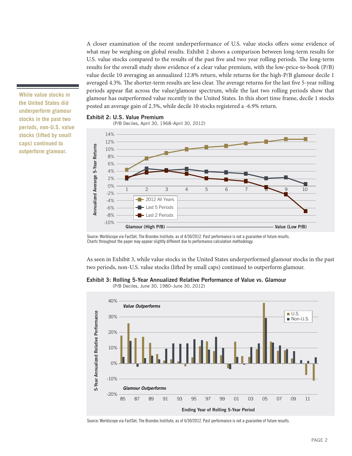A closer examination of the recent underperformance of U.S. value stocks offers some evidence of what may be weighing on global results. Exhibit 2 shows a comparison between long-term results for U.S. value stocks compared to the results of the past five and two year rolling periods. The long-term results for the overall study show evidence of a clear value premium, with the low-price-to-book (P/B) value decile 10 averaging an annualized 12.8% return, while returns for the high-P/B glamour decile 1 averaged 4.3%. The shorter-term results are less clear. The average returns for the last five 5-year rolling periods appear flat across the value/glamour spectrum, while the last two rolling periods show that glamour has outperformed value recently in the United States. In this short time frame, decile 1 stocks posted an average gain of 2.3%, while decile 10 stocks registered a -6.9% return.

**While value stocks in the United States did underperform glamour stocks in the past two periods, non-U.S. value stocks (lifted by small caps) continued to outperform glamour.**

#### **Exhibit 2: U.S. Value Premium**

(P/B Deciles, April 30, 1968–April 30, 2012)



Source: Worldscope via FactSet, The Brandes Institute; as of 4/30/2012. Past performance is not a guarantee of future results. Charts throughout the paper may appear slightly different due to performance calculation methodology.

As seen in Exhibit 3, while value stocks in the United States underperformed glamour stocks in the past two periods, non-U.S. value stocks (lifted by small caps) continued to outperform glamour.

#### **Exhibit 3: Rolling 5-Year Annualized Relative Performance of Value vs. Glamour**

(P/B Deciles, June 30, 1980–June 30, 2012)



Source: Worldscope via FactSet, The Brandes Institute; as of 6/30/2012. Past performance is not a guarantee of future results.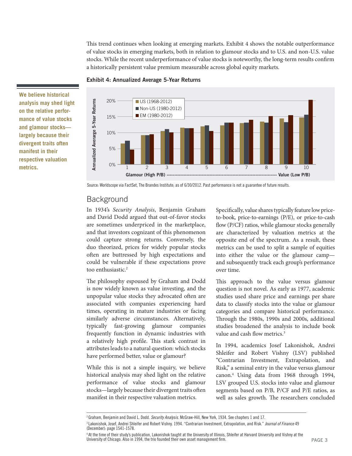This trend continues when looking at emerging markets. Exhibit 4 shows the notable outperformance of value stocks in emerging markets, both in relation to glamour stocks and to U.S. and non-U.S. value stocks. While the recent underperformance of value stocks is noteworthy, the long-term results confirm a historically persistent value premium measurable across global equity markets.





**We believe historical analysis may shed light on the relative performance of value stocks and glamour stocks largely because their divergent traits often manifest in their respective valuation metrics.**

Source: Worldscope via FactSet, The Brandes Institute; as of 6/30/2012. Past performance is not a guarantee of future results.

### **Background**

In 1934's *Security Analysis*, Benjamin Graham and David Dodd argued that out-of-favor stocks are sometimes underpriced in the marketplace, and that investors cognizant of this phenomenon could capture strong returns. Conversely, the duo theorized, prices for widely popular stocks often are buttressed by high expectations and could be vulnerable if these expectations prove too enthusiastic.<sup>2</sup>

The philosophy espoused by Graham and Dodd is now widely known as value investing, and the unpopular value stocks they advocated often are associated with companies experiencing hard times, operating in mature industries or facing similarly adverse circumstances. Alternatively, typically fast-growing glamour companies frequently function in dynamic industries with a relatively high profile. This stark contrast in attributes leads to a natural question: which stocks have performed better, value or glamour?

While this is not a simple inquiry, we believe historical analysis may shed light on the relative performance of value stocks and glamour stocks—largely because their divergent traits often manifest in their respective valuation metrics.

Specifically, value shares typically feature low priceto-book, price-to-earnings (P/E), or price-to-cash flow (P/CF) ratios, while glamour stocks generally are characterized by valuation metrics at the opposite end of the spectrum. As a result, these metrics can be used to split a sample of equities into either the value or the glamour camp and subsequently track each group's performance over time.

This approach to the value versus glamour question is not novel. As early as 1977, academic studies used share price and earnings per share data to classify stocks into the value or glamour categories and compare historical performance. Through the 1980s, 1990s and 2000s, additional studies broadened the analysis to include book value and cash flow metrics.<sup>3</sup>

In 1994, academics Josef Lakonishok, Andrei Shleifer and Robert Vishny (LSV) published "Contrarian Investment, Extrapolation, and Risk," a seminal entry in the value versus glamour canon.4 Using data from 1968 through 1994, LSV grouped U.S. stocks into value and glamour segments based on P/B, P/CF and P/E ratios, as well as sales growth. The researchers concluded

<sup>&</sup>lt;sup>2</sup> Graham, Benjamin and David L. Dodd. Security Analysis. McGraw-Hill, New York, 1934. See chapters 1 and 17.

<sup>&</sup>lt;sup>3</sup> Lakonishok, Josef, Andrei Shleifer and Robert Vishny. 1994. "Contrarian Investment, Extrapolation, and Risk." Journal of Finance 49 (December): page 1541-1578.

<sup>4</sup> At the time of their study's publication, Lakonishok taught at the University of Illinois, Shleifer at Harvard University and Vishny at the University of Chicago. Also in 1994, the trio founded their own asset management firm.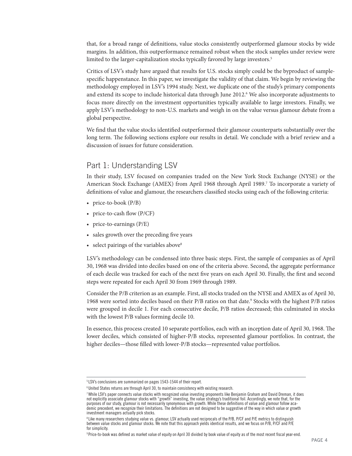that, for a broad range of definitions, value stocks consistently outperformed glamour stocks by wide margins. In addition, this outperformance remained robust when the stock samples under review were limited to the larger-capitalization stocks typically favored by large investors.<sup>5</sup>

Critics of LSV's study have argued that results for U.S. stocks simply could be the byproduct of samplespecific happenstance. In this paper, we investigate the validity of that claim. We begin by reviewing the methodology employed in LSV's 1994 study. Next, we duplicate one of the study's primary components and extend its scope to include historical data through June 2012.<sup>6</sup> We also incorporate adjustments to focus more directly on the investment opportunities typically available to large investors. Finally, we apply LSV's methodology to non-U.S. markets and weigh in on the value versus glamour debate from a global perspective.

We find that the value stocks identified outperformed their glamour counterparts substantially over the long term. The following sections explore our results in detail. We conclude with a brief review and a discussion of issues for future consideration.

### Part 1: Understanding LSV

In their study, LSV focused on companies traded on the New York Stock Exchange (NYSE) or the American Stock Exchange (AMEX) from April 1968 through April 1989.<sup>7</sup> To incorporate a variety of definitions of value and glamour, the researchers classified stocks using each of the following criteria:

- price-to-book (P/B)
- price-to-cash flow  $(P/CF)$
- price-to-earnings (P/E)
- sales growth over the preceding five years
- select pairings of the variables above<sup>8</sup>

LSV's methodology can be condensed into three basic steps. First, the sample of companies as of April 30, 1968 was divided into deciles based on one of the criteria above. Second, the aggregate performance of each decile was tracked for each of the next five years on each April 30. Finally, the first and second steps were repeated for each April 30 from 1969 through 1989.

Consider the P/B criterion as an example. First, all stocks traded on the NYSE and AMEX as of April 30, 1968 were sorted into deciles based on their P/B ratios on that date.<sup>9</sup> Stocks with the highest P/B ratios were grouped in decile 1. For each consecutive decile, P/B ratios decreased; this culminated in stocks with the lowest P/B values forming decile 10.

In essence, this process created 10 separate portfolios, each with an inception date of April 30, 1968. The lower deciles, which consisted of higher-P/B stocks, represented glamour portfolios. In contrast, the higher deciles—those filled with lower-P/B stocks—represented value portfolios.

<sup>5</sup> LSV's conclusions are summarized on pages 1543-1544 of their report.

<sup>6</sup> United States returns are through April 30, to maintain consistency with existing research.

<sup>7</sup> While LSV's paper connects value stocks with recognized value investing proponents like Benjamin Graham and David Dreman, it does not explicitly associate glamour stocks with "growth" investing, the value strategy's traditional foil. Accordingly, we note that, for the purposes of our study, glamour is not necessarily synonymous with growth. While these definitions of value and glamour follow academic precedent, we recognize their limitations. The definitions are not designed to be suggestive of the way in which value or growth investment managers actually pick stocks.

<sup>&</sup>lt;sup>8</sup> Like many researchers studying value vs. glamour, LSV actually used reciprocals of the P/B, P/CF and P/E metrics to distinguish between value stocks and glamour stocks. We note that this approach yields identical results, and we focus on P/B, P/CF and P/E for simplicity.

<sup>9</sup> Price-to-book was defined as market value of equity on April 30 divided by book value of equity as of the most recent fiscal year-end.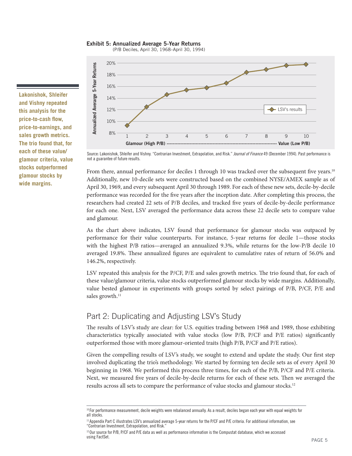**Exhibit 5: Annualized Average 5-Year Returns**

(P/B Deciles, April 30, 1968–April 30, 1994)

**Lakonishok, Shleifer and Vishny repeated this analysis for the**  price-to-cash flow, **price-to-earnings, and sales growth metrics. The trio found that, for each of these value/ glamour criteria, value stocks outperformed glamour stocks by wide margins.**



Source: Lakonishok, Shleifer and Vishny. "Contrarian Investment, Extrapolation, and Risk." Journal of Finance 49 (December 1994). Past performance is not a guarantee of future results.

From there, annual performance for deciles 1 through 10 was tracked over the subsequent five years.<sup>10</sup> Additionally, new 10-decile sets were constructed based on the combined NYSE/AMEX sample as of April 30, 1969, and every subsequent April 30 through 1989. For each of these new sets, decile-by-decile performance was recorded for the five years after the inception date. After completing this process, the researchers had created 22 sets of P/B deciles, and tracked five years of decile-by-decile performance for each one. Next, LSV averaged the performance data across these 22 decile sets to compare value and glamour. **Example 1988**<br> **Example 1898**<br> **Example 1898**<br> **Example 1898**<br> **Example 1898**<br> **Example 1898**<br> **Example 1898**<br> **Example 1898**<br> **Example 1898**<br> **Example 1898**<br> **Example 1898**<br> **Example 1898**<br> **Example 1898**<br> **Example 1898** 

As the chart above indicates, LSV found that performance for glamour stocks was outpaced by performance for their value counterparts. For instance, 5-year returns for decile 1—those stocks with the highest P/B ratios—averaged an annualized 9.3%, while returns for the low-P/B decile 10 averaged 19.8%. These annualized figures are equivalent to cumulative rates of return of 56.0% and 146.2%, respectively.

LSV repeated this analysis for the P/CF, P/E and sales growth metrics. The trio found that, for each of these value/glamour criteria, value stocks outperformed glamour stocks by wide margins. Additionally, value bested glamour in experiments with groups sorted by select pairings of P/B, P/CF, P/E and sales growth. $11$ 

# Part 2: Duplicating and Adjusting LSV's Study

The results of LSV's study are clear: for U.S. equities trading between 1968 and 1989, those exhibiting characteristics typically associated with value stocks (low P/B, P/CF and P/E ratios) significantly outperformed those with more glamour-oriented traits (high P/B, P/CF and P/E ratios).

Given the compelling results of LSV's study, we sought to extend and update the study. Our first step involved duplicating the trio's methodology. We started by forming ten decile sets as of every April 30 beginning in 1968. We performed this process three times, for each of the P/B, P/CF and P/E criteria. Next, we measured five years of decile-by-decile returns for each of these sets. Then we averaged the

<sup>&</sup>lt;sup>10</sup> For performance measurement, decile weights were rebalanced annually. As a result, deciles began each year with equal weights for all stocks.

<sup>11</sup> Appendix Part C illustrates LSV's annualized average 5-year returns for the P/CF and P/E criteria. For additional information, see "Contrarian Investment, Extrapolation, and Risk."

<sup>&</sup>lt;sup>12</sup> Our source for P/B, P/CF and P/E data as well as performance information is the Compustat database, which we accessed using FactSet.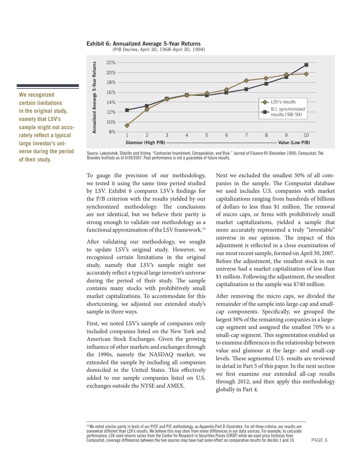**Exhibit 6: Annualized Average 5-Year Returns**

(P/B Deciles, April 30, 1968–April 30, 1994)



**We recognized certain limitations in the original study, namely that LSV's sample might not accu**rately reflect a typical **large investor's universe during the period of their study.**

Source: Lakonishok, Shleifer and Vishny. "Contrarian Investment, Extrapolation, and Risk." Journal of Finance 49 (December 1994); Compustat, The Brandes Institute as of 4/30/2007. Past performance is not a guarantee of future results.

To gauge the precision of our methodology, we tested it using the same time period studied by LSV. Exhibit 6 compares LSV's findings for the P/B criterion with the results yielded by our synchronized methodology. The conclusions are not identical, but we believe their parity is strong enough to validate our methodology as a functional approximation of the LSV framework.<sup>13</sup>

After validating our methodology, we sought to update LSV's original study. However, we recognized certain limitations in the original study, namely that LSV's sample might not accurately reflect a typical large investor's universe during the period of their study. The sample contains many stocks with prohibitively small market capitalizations. To accommodate for this shortcoming, we adjusted our extended study's sample in three ways.

First, we noted LSV's sample of companies only included companies listed on the New York and American Stock Exchanges. Given the growing influence of other markets and exchanges through the 1990s, namely the NASDAQ market, we extended the sample by including all companies domiciled in the United States. This effectively added to our sample companies listed on U.S. exchanges outside the NYSE and AMEX.

Next we excluded the smallest 50% of all companies in the sample. The Compustat database we used includes U.S. companies with market capitalizations ranging from hundreds of billions of dollars to less than \$1 million. The removal of micro caps, or firms with prohibitively small market capitalizations, yielded a sample that more accurately represented a truly "investable" universe in our opinion. The impact of this adjustment is reflected in a close examination of our most recent sample, formed on April 30, 2007. Before the adjustment, the smallest stock in our universe had a market capitalization of less than \$1 million. Following the adjustment, the smallest capitalization in the sample was \$740 million.

After removing the micro caps, we divided the remainder of the sample into large-cap and smallcap components. Specifically, we grouped the largest 30% of the remaining companies in a largecap segment and assigned the smallest 70% to a small-cap segment. This segmentation enabled us to examine differences in the relationship between value and glamour at the large- and small-cap levels. These segmented U.S. results are reviewed in detail in Part 5 of this paper. In the next section we first examine our extended all-cap results through 2012, and then apply this methodology globally in Part 4.

<sup>13</sup> We noted similar parity in tests of our P/CF and P/E methodology, as Appendix Part D illustrates. For all three criteria, our results are somewhat different than LSV's results. We believe this may stem from minor differences in our data sources. For example, to calculate performance, LSV used returns series from the Center for Research in Securities Prices (CRSP) while we used price histories from Compustat; coverage differences between the two sources may have had some effect on comparative results for deciles 1 and 10.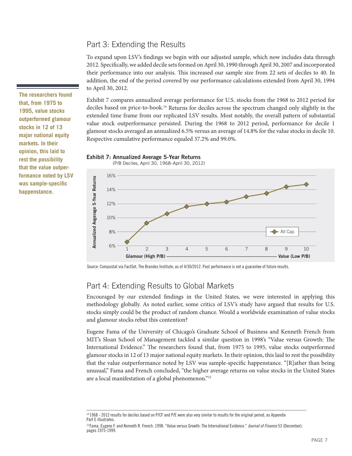### Part 3: Extending the Results

To expand upon LSV's findings we begin with our adjusted sample, which now includes data through 2012. Specifically, we added decile sets formed on April 30, 1990 through April 30, 2007 and incorporated their performance into our analysis. This increased our sample size from 22 sets of deciles to 40. In addition, the end of the period covered by our performance calculations extended from April 30, 1994 to April 30, 2012.

Exhibit 7 compares annualized average performance for U.S. stocks from the 1968 to 2012 period for deciles based on price-to-book.14 Returns for deciles across the spectrum changed only slightly in the extended time frame from our replicated LSV results. Most notably, the overall pattern of substantial value stock outperformance persisted. During the 1968 to 2012 period, performance for decile 1 glamour stocks averaged an annualized 6.5% versus an average of 14.8% for the value stocks in decile 10. Respective cumulative performance equaled 37.2% and 99.0%.

16% Annualized Avgerage 5-Year Returns **Annualized Avgerage 5-Year Returns** 14% 12% 10% All Cap 8% 6% 1 2 3 4 5 6 7 8 9 10 **Glamour (High P/B) ------------------------------------------------------------------------ Value (Low P/B)**

**Exhibit 7: Annualized Average 5-Year Returns**

Source: Compustat via FactSet, The Brandes Institute; as of 4/30/2012. Past performance is not a guarantee of future results.

# Part 4: Extending Results to Global Markets

Encouraged by our extended findings in the United States, we were interested in applying this methodology globally. As noted earlier, some critics of LSV's study have argued that results for U.S. stocks simply could be the product of random chance. Would a worldwide examination of value stocks and glamour stocks rebut this contention?

Eugene Fama of the University of Chicago's Graduate School of Business and Kenneth French from MIT's Sloan School of Management tackled a similar question in 1998's "Value versus Growth: The International Evidence." The researchers found that, from 1975 to 1995, value stocks outperformed glamour stocks in 12 of 13 major national equity markets. In their opinion, this laid to rest the possibility that the value outperformance noted by LSV was sample-specific happenstance. " $[R]$ ather than being unusual," Fama and French concluded, "the higher average returns on value stocks in the United States are a local manifestation of a global phenomenon."15

**The researchers found that, from 1975 to 1995, value stocks outperformed glamour stocks in 12 of 13 major national equity markets. In their opinion, this laid to rest the possibility that the value outperformance noted by LSV**  was sample-specific **happenstance.**

 <sup>(</sup>P/B Deciles, April 30, 1968–April 30, 2012)

<sup>14 1968 - 2012</sup> results for deciles based on P/CF and P/E were also very similar to results for the original period, as Appendix Part E illustrates.

<sup>&</sup>lt;sup>15</sup> Fama, Eugene F. and Kenneth R. French. 1998. "Value versus Growth: The International Evidence." *Journal of Finance* 53 (December): pages 1975-1999.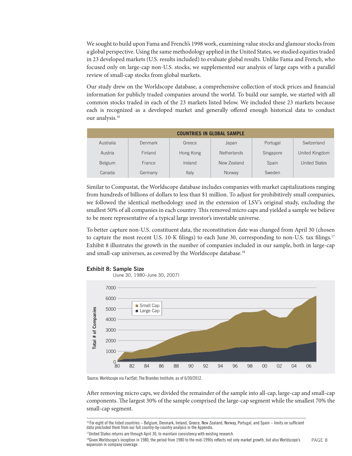We sought to build upon Fama and French's 1998 work, examining value stocks and glamour stocks from a global perspective. Using the same methodology applied in the United States, we studied equities traded in 23 developed markets (U.S. results included) to evaluate global results. Unlike Fama and French, who focused only on large-cap non-U.S. stocks, we supplemented our analysis of large caps with a parallel review of small-cap stocks from global markets.

Our study drew on the Worldscope database, a comprehensive collection of stock prices and financial information for publicly traded companies around the world. To build our sample, we started with all common stocks traded in each of the 23 markets listed below. We included these 23 markets because each is recognized as a developed market and generally offered enough historical data to conduct our analysis.16

| <b>COUNTRIES IN GLOBAL SAMPLE</b> |         |           |                    |           |                      |  |  |  |
|-----------------------------------|---------|-----------|--------------------|-----------|----------------------|--|--|--|
| Australia                         | Denmark | Greece    | Japan              | Portugal  | Switzerland          |  |  |  |
| Austria                           | Finland | Hong Kong | <b>Netherlands</b> | Singapore | United Kingdom       |  |  |  |
| Belgium                           | France  | Ireland   | New Zealand        | Spain     | <b>United States</b> |  |  |  |
| Canada                            | Germany | Italy     | Norway             | Sweden    |                      |  |  |  |

Similar to Compustat, the Worldscope database includes companies with market capitalizations ranging from hundreds of billions of dollars to less than \$1 million. To adjust for prohibitively small companies, we followed the identical methodology used in the extension of LSV's original study, excluding the smallest 50% of all companies in each country. This removed micro caps and yielded a sample we believe to be more representative of a typical large investor's investable universe.

To better capture non-U.S. constituent data, the reconstitution date was changed from April 30 (chosen to capture the most recent U.S. 10-K filings) to each June 30, corresponding to non-U.S. tax filings.<sup>17</sup> Exhibit 8 illustrates the growth in the number of companies included in our sample, both in large-cap and small-cap universes, as covered by the Worldscope database.<sup>18</sup>



**Exhibit 8: Sample Size**

Source: Worldscope via FactSet, The Brandes Institute; as of 6/30/2012.

After removing micro caps, we divided the remainder of the sample into all-cap, large-cap and small-cap components. The largest 30% of the sample comprised the large-cap segment while the smallest 70% the small-cap segment.

<sup>&</sup>lt;sup>16</sup> For eight of the listed countries – Belgium, Denmark, Ireland, Greece, New Zealand, Norway, Portugal, and Spain – limits on sufficient data precluded them from our full country-by-country analysis in the Appendix.

<sup>&</sup>lt;sup>17</sup>United States returns are through April 30, to maintain consistency with existing research.

PAGE 8 <sup>18</sup>Given Worldscope's inception in 1980, the period from 1980 to the mid-1990s reflects not only market growth, but also Worldscope's expansion in company coverage.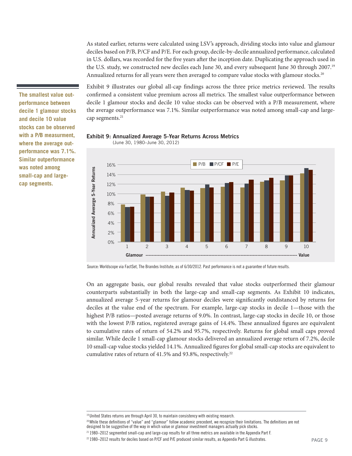As stated earlier, returns were calculated using LSV's approach, dividing stocks into value and glamour deciles based on P/B, P/CF and P/E. For each group, decile-by-decile annualized performance, calculated in U.S. dollars, was recorded for the five years after the inception date. Duplicating the approach used in the U.S. study, we constructed new deciles each June 30, and every subsequent June 30 through 2007.19 Annualized returns for all years were then averaged to compare value stocks with glamour stocks.<sup>20</sup>

Exhibit 9 illustrates our global all-cap findings across the three price metrics reviewed. The results confirmed a consistent value premium across all metrics. The smallest value outperformance between decile 1 glamour stocks and decile 10 value stocks can be observed with a P/B measurement, where the average outperformance was 7.1%. Similar outperformance was noted among small-cap and largecap segments.<sup>21</sup>



#### **Exhibit 9: Annualized Average 5-Year Returns Across Metrics** (June 30, 1980–June 30, 2012)

**The smallest value outperformance between decile 1 glamour stocks and decile 10 value stocks can be observed with a P/B measurment, where the average outperformance was 7.1%. Similar outperformance was noted among small-cap and largecap segments.** 

Source: Worldscope via FactSet, The Brandes Institute; as of 6/30/2012. Past performance is not a guarantee of future results.

On an aggregate basis, our global results revealed that value stocks outperformed their glamour counterparts substantially in both the large-cap and small-cap segments. As Exhibit 10 indicates, annualized average 5-year returns for glamour deciles were significantly outdistanced by returns for deciles at the value end of the spectrum. For example, large-cap stocks in decile 1—those with the highest P/B ratios—posted average returns of 9.0%. In contrast, large-cap stocks in decile 10, or those with the lowest  $P/B$  ratios, registered average gains of 14.4%. These annualized figures are equivalent to cumulative rates of return of 54.2% and 95.7%, respectively. Returns for global small caps proved similar. While decile 1 small-cap glamour stocks delivered an annualized average return of 7.2%, decile 10 small-cap value stocks yielded 14.1%. Annualized figures for global small-cap stocks are equivalent to cumulative rates of return of 41.5% and 93.8%, respectively.<sup>22</sup>

<sup>19</sup> United States returns are through April 30, to maintain consistency with existing research.

<sup>&</sup>lt;sup>20</sup> While these definitions of "value" and "glamour" follow academic precedent, we recognize their limitations. The definitions are not designed to be suggestive of the way in which value or glamour investment managers actually pick stocks.

<sup>21 1980–2012</sup> segmented small-cap and large-cap results for all three metrics are available in the Appendix Part F.

<sup>&</sup>lt;sup>22</sup> 1980–2012 results for deciles based on P/CF and P/E produced similar results, as Appendix Part G illustrates.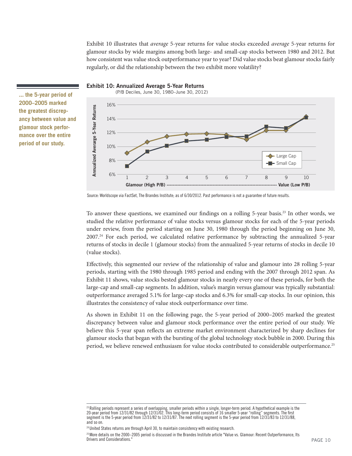Exhibit 10 illustrates that *average* 5-year returns for value stocks exceeded *average* 5-year returns for glamour stocks by wide margins among both large- and small-cap stocks between 1980 and 2012. But how consistent was value stock outperformance year to year? Did value stocks beat glamour stocks fairly regularly, or did the relationship between the two exhibit more volatility?



**... the 5-year period of 2000–2005 marked the greatest discrepancy between value and glamour stock performance over the entire period of our study.**

Source: Worldscope via FactSet, The Brandes Institute; as of 6/30/2012. Past performance is not a guarantee of future results.

**Exhibit 10: Annualized Average 5-Year Returns**

To answer these questions, we examined our findings on a rolling  $5$ -year basis.<sup>23</sup> In other words, we studied the relative performance of value stocks versus glamour stocks for each of the 5-year periods under review, from the period starting on June 30, 1980 through the period beginning on June 30, 2007.<sup>24</sup> For each period, we calculated relative performance by subtracting the annualized 5-year returns of stocks in decile 1 (glamour stocks) from the annualized 5-year returns of stocks in decile 10 (value stocks).

**Branchata Considers and Considers and Consideration**<br> **Example 1**<br>
Source: Worldscope via FactS<br>
To answer these questudied the relative<br>
under review, from<br>
2007.<sup>24</sup> For each p<br>
returns of stocks in<br>
(value stocks).<br>
Ef Effectively, this segmented our review of the relationship of value and glamour into 28 rolling 5-year periods, starting with the 1980 through 1985 period and ending with the 2007 through 2012 span. As Exhibit 11 shows, value stocks bested glamour stocks in nearly every one of these periods, for both the large-cap and small-cap segments. In addition, value's margin versus glamour was typically substantial: outperformance averaged 5.1% for large-cap stocks and 6.3% for small-cap stocks. In our opinion, this illustrates the consistency of value stock outperformance over time.

As shown in Exhibit 11 on the following page, the 5-year period of 2000–2005 marked the greatest discrepancy between value and glamour stock performance over the entire period of our study. We believe this 5-year span reflects an extreme market environment characterized by sharp declines for glamour stocks that began with the bursting of the global technology stock bubble in 2000. During this period, we believe renewed enthusiasm for value stocks contributed to considerable outperformance.<sup>25</sup>

 $^{23}$ Rolling periods represent a series of overlapping, smaller periods within a single, longer-term period. A hypothetical example is the 20-year period from 12/31/82 through 12/31/02. This long-term period consists of 16 smaller 5-year "rolling" segments. The first segment is the 5-year period from 12/31/82 to 12/31/87. The next rolling segment is the 5-year period from 12/31/83 to 12/31/88, and so on.

<sup>&</sup>lt;sup>24</sup> United States returns are through April 30, to maintain consistency with existing research.

<sup>&</sup>lt;sup>25</sup> More details on the 2000–2005 period is discussed in the Brandes Institute article "Value vs. Glamour: Recent Outperformance, Its<br>Drivers and Considerations "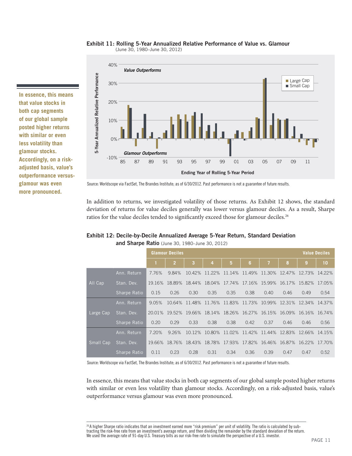#### **Exhibit 11: Rolling 5-Year Annualized Relative Performance of Value vs. Glamour** (June 30, 1980–June 30, 2012)



#### **Exhibit 12: Decile-by-Decile Annualized Average 5-Year Return, Standard Deviation**

| <b>Glamour Outperforms</b><br>-10%<br>85<br>87<br>Source: Worldscope via FactSet, The Brandes Institute; as of 6/30/2012. Past performance is not a guarantee of future results.<br>In addition to returns, we investigated volatility of those returns. As Exhibit 12 shows, the standard<br>deviation of returns for value deciles generally was lower versus glamour deciles. As a result, Sharpe<br>ratios for the value deciles tended to significantly exceed those for glamour deciles. <sup>26</sup><br>Exhibit 12: Decile-by-Decile Annualized Average 5-Year Return, Standard Deviation<br>and Sharpe Ratio (June 30, 1980-June 30, 2012) | 89                                                                                                                   | 91<br>93<br><b>Glamour Deciles</b>     | 95                            | 97                   | 01<br>99<br>Ending Year of Rolling 5-Year Period | 03                                                                              | 05                   | 07<br>09             | 11                                                                                                                                                                                                                                                                                     |                                                                                                                                                                                                                                                                                                                                                                                                                                                                                                                                                                                                                                                                                                                                                                                                                                                                                                          |
|-----------------------------------------------------------------------------------------------------------------------------------------------------------------------------------------------------------------------------------------------------------------------------------------------------------------------------------------------------------------------------------------------------------------------------------------------------------------------------------------------------------------------------------------------------------------------------------------------------------------------------------------------------|----------------------------------------------------------------------------------------------------------------------|----------------------------------------|-------------------------------|----------------------|--------------------------------------------------|---------------------------------------------------------------------------------|----------------------|----------------------|----------------------------------------------------------------------------------------------------------------------------------------------------------------------------------------------------------------------------------------------------------------------------------------|----------------------------------------------------------------------------------------------------------------------------------------------------------------------------------------------------------------------------------------------------------------------------------------------------------------------------------------------------------------------------------------------------------------------------------------------------------------------------------------------------------------------------------------------------------------------------------------------------------------------------------------------------------------------------------------------------------------------------------------------------------------------------------------------------------------------------------------------------------------------------------------------------------|
|                                                                                                                                                                                                                                                                                                                                                                                                                                                                                                                                                                                                                                                     |                                                                                                                      |                                        |                               |                      |                                                  |                                                                                 |                      |                      |                                                                                                                                                                                                                                                                                        |                                                                                                                                                                                                                                                                                                                                                                                                                                                                                                                                                                                                                                                                                                                                                                                                                                                                                                          |
|                                                                                                                                                                                                                                                                                                                                                                                                                                                                                                                                                                                                                                                     |                                                                                                                      |                                        |                               |                      |                                                  |                                                                                 |                      |                      |                                                                                                                                                                                                                                                                                        |                                                                                                                                                                                                                                                                                                                                                                                                                                                                                                                                                                                                                                                                                                                                                                                                                                                                                                          |
|                                                                                                                                                                                                                                                                                                                                                                                                                                                                                                                                                                                                                                                     |                                                                                                                      |                                        |                               |                      |                                                  |                                                                                 |                      |                      |                                                                                                                                                                                                                                                                                        |                                                                                                                                                                                                                                                                                                                                                                                                                                                                                                                                                                                                                                                                                                                                                                                                                                                                                                          |
|                                                                                                                                                                                                                                                                                                                                                                                                                                                                                                                                                                                                                                                     |                                                                                                                      |                                        |                               |                      |                                                  |                                                                                 |                      |                      |                                                                                                                                                                                                                                                                                        |                                                                                                                                                                                                                                                                                                                                                                                                                                                                                                                                                                                                                                                                                                                                                                                                                                                                                                          |
|                                                                                                                                                                                                                                                                                                                                                                                                                                                                                                                                                                                                                                                     |                                                                                                                      |                                        |                               |                      |                                                  |                                                                                 |                      |                      |                                                                                                                                                                                                                                                                                        |                                                                                                                                                                                                                                                                                                                                                                                                                                                                                                                                                                                                                                                                                                                                                                                                                                                                                                          |
|                                                                                                                                                                                                                                                                                                                                                                                                                                                                                                                                                                                                                                                     |                                                                                                                      |                                        |                               |                      |                                                  |                                                                                 |                      |                      |                                                                                                                                                                                                                                                                                        | <b>Value Deciles</b>                                                                                                                                                                                                                                                                                                                                                                                                                                                                                                                                                                                                                                                                                                                                                                                                                                                                                     |
|                                                                                                                                                                                                                                                                                                                                                                                                                                                                                                                                                                                                                                                     | 1                                                                                                                    | $\overline{2}$                         | 3                             | 4                    | $5\phantom{.0}$                                  | 6                                                                               | $\overline{1}$       | 8                    | 9                                                                                                                                                                                                                                                                                      | 10                                                                                                                                                                                                                                                                                                                                                                                                                                                                                                                                                                                                                                                                                                                                                                                                                                                                                                       |
| Ann. Return                                                                                                                                                                                                                                                                                                                                                                                                                                                                                                                                                                                                                                         | 7.76%                                                                                                                | 9.84%                                  |                               |                      |                                                  |                                                                                 |                      |                      | 10.42% 11.22% 11.14% 11.49% 11.30% 12.47% 12.73% 14.22%                                                                                                                                                                                                                                |                                                                                                                                                                                                                                                                                                                                                                                                                                                                                                                                                                                                                                                                                                                                                                                                                                                                                                          |
|                                                                                                                                                                                                                                                                                                                                                                                                                                                                                                                                                                                                                                                     |                                                                                                                      |                                        |                               |                      |                                                  |                                                                                 |                      |                      |                                                                                                                                                                                                                                                                                        |                                                                                                                                                                                                                                                                                                                                                                                                                                                                                                                                                                                                                                                                                                                                                                                                                                                                                                          |
|                                                                                                                                                                                                                                                                                                                                                                                                                                                                                                                                                                                                                                                     |                                                                                                                      |                                        |                               |                      |                                                  |                                                                                 |                      |                      |                                                                                                                                                                                                                                                                                        | 0.54                                                                                                                                                                                                                                                                                                                                                                                                                                                                                                                                                                                                                                                                                                                                                                                                                                                                                                     |
|                                                                                                                                                                                                                                                                                                                                                                                                                                                                                                                                                                                                                                                     |                                                                                                                      |                                        |                               |                      |                                                  |                                                                                 |                      |                      |                                                                                                                                                                                                                                                                                        |                                                                                                                                                                                                                                                                                                                                                                                                                                                                                                                                                                                                                                                                                                                                                                                                                                                                                                          |
|                                                                                                                                                                                                                                                                                                                                                                                                                                                                                                                                                                                                                                                     |                                                                                                                      |                                        |                               |                      |                                                  |                                                                                 |                      |                      |                                                                                                                                                                                                                                                                                        |                                                                                                                                                                                                                                                                                                                                                                                                                                                                                                                                                                                                                                                                                                                                                                                                                                                                                                          |
|                                                                                                                                                                                                                                                                                                                                                                                                                                                                                                                                                                                                                                                     |                                                                                                                      |                                        |                               |                      |                                                  |                                                                                 |                      |                      |                                                                                                                                                                                                                                                                                        | 0.56                                                                                                                                                                                                                                                                                                                                                                                                                                                                                                                                                                                                                                                                                                                                                                                                                                                                                                     |
|                                                                                                                                                                                                                                                                                                                                                                                                                                                                                                                                                                                                                                                     |                                                                                                                      |                                        |                               |                      |                                                  |                                                                                 |                      |                      |                                                                                                                                                                                                                                                                                        |                                                                                                                                                                                                                                                                                                                                                                                                                                                                                                                                                                                                                                                                                                                                                                                                                                                                                                          |
|                                                                                                                                                                                                                                                                                                                                                                                                                                                                                                                                                                                                                                                     |                                                                                                                      |                                        |                               |                      |                                                  |                                                                                 |                      |                      |                                                                                                                                                                                                                                                                                        |                                                                                                                                                                                                                                                                                                                                                                                                                                                                                                                                                                                                                                                                                                                                                                                                                                                                                                          |
|                                                                                                                                                                                                                                                                                                                                                                                                                                                                                                                                                                                                                                                     |                                                                                                                      |                                        |                               |                      |                                                  |                                                                                 |                      |                      |                                                                                                                                                                                                                                                                                        | 0.52                                                                                                                                                                                                                                                                                                                                                                                                                                                                                                                                                                                                                                                                                                                                                                                                                                                                                                     |
|                                                                                                                                                                                                                                                                                                                                                                                                                                                                                                                                                                                                                                                     |                                                                                                                      |                                        |                               |                      |                                                  |                                                                                 |                      |                      |                                                                                                                                                                                                                                                                                        |                                                                                                                                                                                                                                                                                                                                                                                                                                                                                                                                                                                                                                                                                                                                                                                                                                                                                                          |
|                                                                                                                                                                                                                                                                                                                                                                                                                                                                                                                                                                                                                                                     | Stan. Dev.<br>Sharpe Ratio<br>Ann. Return<br>Stan. Dev.<br>Sharpe Ratio<br>Ann. Return<br>Stan. Dev.<br>Sharpe Ratio | 0.15<br>9.05%<br>0.20<br>7.20%<br>0.11 | 0.26<br>0.29<br>9.26%<br>0.23 | 0.30<br>0.33<br>0.28 | 0.35<br>0.38<br>0.31                             | 0.35<br>0.38<br>0.34<br>outperformance versus glamour was even more pronounced. | 0.38<br>0.42<br>0.36 | 0.40<br>0.37<br>0.39 | 0.46<br>0.46<br>0.47<br>Source: Worldscope via FactSet, The Brandes Institute; as of 6/30/2012. Past performance is not a guarantee of future results.<br>We used the average rate of 91-day U.S. Treasury bills as our risk-free rate to simulate the perspective of a U.S. investor. | 19.16% 18.89% 18.44% 18.04% 17.74% 17.16% 15.99% 16.17% 15.82% 17.05%<br>0.49<br>10.64% 11.48% 11.76% 11.83% 11.73% 10.99% 12.31% 12.34% 14.37%<br>20.01% 19.52% 19.66% 18.14% 18.26% 16.27% 16.15% 16.09% 16.16% 16.74%<br>0.46<br>10.12% 10.80% 11.02% 11.42% 11.44% 12.83% 12.66% 14.15%<br>19.66% 18.76% 18.43% 18.78% 17.93% 17.82% 16.46% 16.87% 16.22% 17.70%<br>0.47<br>In essence, this means that value stocks in both cap segments of our global sample posted higher returns<br>with similar or even less volatility than glamour stocks. Accordingly, on a risk-adjusted basis, value's<br><sup>26</sup> A higher Sharpe ratio indicates that an investment earned more "risk premium" per unit of volatility. The ratio is calculated by sub-<br>tracting the risk-free rate from an investment's average return, and then dividing the remainder by the standard deviation of the return. |

**In essence, this means that value stocks in both cap segments of our global sample posted higher returns with similar or even less volatility than glamour stocks. Accordingly, on a riskadjusted basis, value's outperformance versusglamour was even more pronounced.**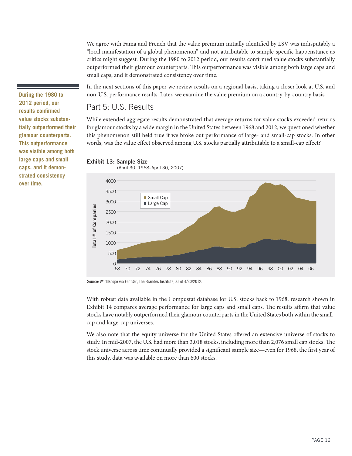We agree with Fama and French that the value premium initially identified by LSV was indisputably a "local manifestation of a global phenomenon" and not attributable to sample-specific happenstance as critics might suggest. During the 1980 to 2012 period, our results confirmed value stocks substantially outperformed their glamour counterparts. This outperformance was visible among both large caps and small caps, and it demonstrated consistency over time.

In the next sections of this paper we review results on a regional basis, taking a closer look at U.S. and non-U.S. performance results. Later, we examine the value premium on a country-by-country basis

### Part 5: U.S. Results

While extended aggregate results demonstrated that average returns for value stocks exceeded returns for glamour stocks by a wide margin in the United States between 1968 and 2012, we questioned whether this phenomenon still held true if we broke out performance of large- and small-cap stocks. In other words, was the value effect observed among U.S. stocks partially attributable to a small-cap effect?

#### **Exhibit 13: Sample Size**

(April 30, 1968–April 30, 2007)



Source: Worldscope via FactSet, The Brandes Institute; as of 4/30/2012.

With robust data available in the Compustat database for U.S. stocks back to 1968, research shown in Exhibit 14 compares average performance for large caps and small caps. The results affirm that value stocks have notably outperformed their glamour counterparts in the United States both within the smallcap and large-cap universes.

We also note that the equity universe for the United States offered an extensive universe of stocks to study. In mid-2007, the U.S. had more than 3,018 stocks, including more than 2,076 small cap stocks. The stock universe across time continually provided a significant sample size—even for 1968, the first year of this study, data was available on more than 600 stocks.

**During the 1980 to 2012 period, our results confirmed value stocks substantially outperformed their glamour counterparts. This outperformance was visible among both large caps and small caps, and it demonstrated consistency over time.**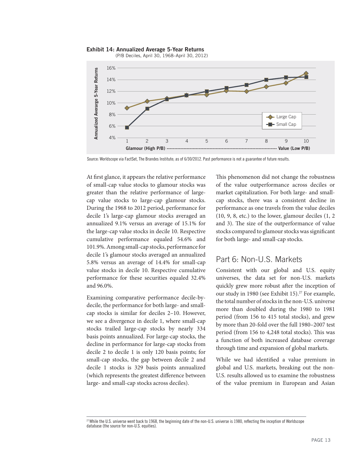**Exhibit 14: Annualized Average 5-Year Returns** (P/B Deciles, April 30, 1968–April 30, 2012)



Source: Worldscope via FactSet, The Brandes Institute; as of 6/30/2012. Past performance is not a guarantee of future results.

At first glance, it appears the relative performance of small-cap value stocks to glamour stocks was greater than the relative performance of largecap value stocks to large-cap glamour stocks. During the 1968 to 2012 period, performance for decile 1's large-cap glamour stocks averaged an annualized 9.1% versus an average of 15.1% for the large-cap value stocks in decile 10. Respective cumulative performance equaled 54.6% and 101.9%. Among small-cap stocks, performance for decile 1's glamour stocks averaged an annualized 5.8% versus an average of 14.4% for small-cap value stocks in decile 10. Respective cumulative performance for these securities equaled 32.4% and 96.0%.

Examining comparative performance decile-bydecile, the performance for both large- and smallcap stocks is similar for deciles 2–10. However, we see a divergence in decile 1, where small-cap stocks trailed large-cap stocks by nearly 334 basis points annualized. For large-cap stocks, the decline in performance for large-cap stocks from decile 2 to decile 1 is only 120 basis points; for small-cap stocks, the gap between decile 2 and decile 1 stocks is 329 basis points annualized (which represents the greatest difference between large- and small-cap stocks across deciles).

This phenomenon did not change the robustness of the value outperformance across deciles or market capitalization. For both large- and smallcap stocks, there was a consistent decline in performance as one travels from the value deciles (10, 9, 8, etc.) to the lower, glamour deciles (1, 2 and 3). The size of the outperformance of value stocks compared to glamour stocks was significant for both large- and small-cap stocks.

### Part 6: Non-U.S. Markets

Consistent with our global and U.S. equity universes, the data set for non-U.S. markets quickly grew more robust after the inception of our study in 1980 (see Exhibit 15).<sup>27</sup> For example, the total number of stocks in the non-U.S. universe more than doubled during the 1980 to 1981 period (from 156 to 415 total stocks), and grew by more than 20-fold over the full 1980–2007 test period (from 156 to 4,248 total stocks). This was a function of both increased database coverage through time and expansion of global markets.

While we had identified a value premium in global and U.S. markets, breaking out the non-U.S. results allowed us to examine the robustness of the value premium in European and Asian

<sup>&</sup>lt;sup>27</sup> While the U.S. universe went back to 1968, the beginning date of the non-U.S. universe is 1980, reflecting the inception of Worldscope database (the source for non-U.S. equities).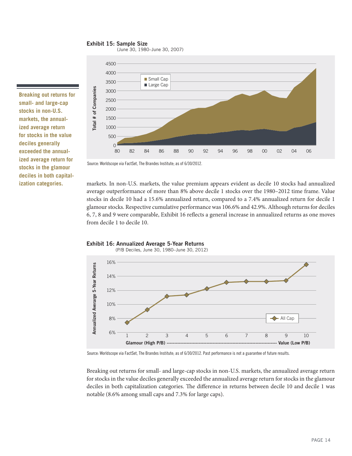#### **Exhibit 15: Sample Size**

(June 30, 1980–June 30, 2007)

**Breaking out returns for small- and large-cap stocks in non-U.S. markets, the annualized average return for stocks in the value deciles generally exceeded the annualized average return for stocks in the glamour deciles in both capital-**



Source: Worldscope via FactSet, The Brandes Institute; as of 6/30/2012.

**ization categories.** markets. In non-U.S. markets, the value premium appears evident as decile 10 stocks had annualized average outperformance of more than 8% above decile 1 stocks over the 1980–2012 time frame. Value stocks in decile 10 had a 15.6% annualized return, compared to a 7.4% annualized return for decile 1 glamour stocks. Respective cumulative performance was 106.6% and 42.9%. Although returns for deciles 6, 7, 8 and 9 were comparable, Exhibit 16 reflects a general increase in annualized returns as one moves





(P/B Deciles, June 30, 1980–June 30, 2012)

Source: Worldscope via FactSet, The Brandes Institute; as of 6/30/2012. Past performance is not a guarantee of future results.

Breaking out returns for small- and large-cap stocks in non-U.S. markets, the annualized average return for stocks in the value deciles generally exceeded the annualized average return for stocks in the glamour deciles in both capitalization categories. The difference in returns between decile 10 and decile 1 was notable (8.6% among small caps and 7.3% for large caps).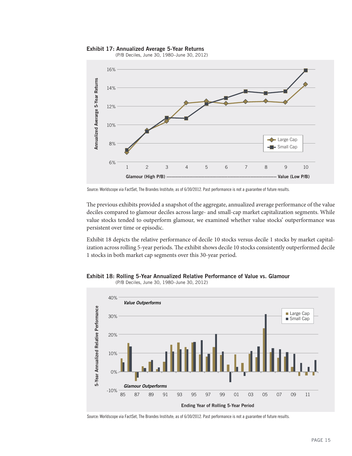#### **Exhibit 17: Annualized Average 5-Year Returns**



(P/B Deciles, June 30, 1980–June 30, 2012)

Source: Worldscope via FactSet, The Brandes Institute; as of 6/30/2012. Past performance is not a guarantee of future results.

The previous exhibits provided a snapshot of the aggregate, annualized average performance of the value deciles compared to glamour deciles across large- and small-cap market capitalization segments. While value stocks tended to outperform glamour, we examined whether value stocks' outperformance was persistent over time or episodic.

Exhibit 18 depicts the relative performance of decile 10 stocks versus decile 1 stocks by market capitalization across rolling 5-year periods. The exhibit shows decile 10 stocks consistently outperformed decile 1 stocks in both market cap segments over this 30-year period.



**Exhibit 18: Rolling 5-Year Annualized Relative Performance of Value vs. Glamour**

Source: Worldscope via FactSet, The Brandes Institute; as of 6/30/2012. Past performance is not a guarantee of future results.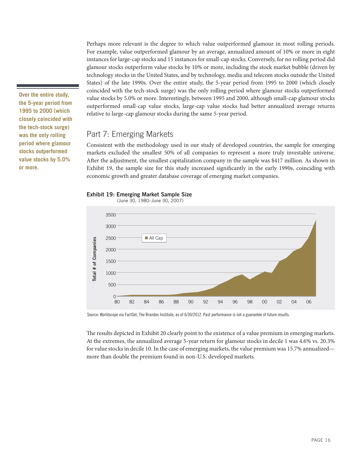Perhaps more relevant is the degree to which value outperformed glamour in most rolling periods. For example, value outperformed glamour by an average, annualized amount of 10% or more in eight instances for large-cap stocks and 15 instances for small-cap stocks. Conversely, for no rolling period did glamour stocks outperform value stocks by 10% or more, including the stock market bubble (driven by technology stocks in the United States, and by technology, media and telecom stocks outside the United States) of the late 1990s. Over the entire study, the 5-year period from 1995 to 2000 (which closely coincided with the tech-stock surge) was the only rolling period where glamour stocks outperformed value stocks by 5.0% or more. Interestingly, between 1995 and 2000, although small-cap glamour stocks outperformed small-cap value stocks, large-cap value stocks had better annualized average returns relative to large-cap glamour stocks during the same 5-year period.

### Part 7: Emerging Markets

Consistent with the methodology used in our study of developed countries, the sample for emerging markets excluded the smallest 50% of all companies to represent a more truly investable universe. After the adjustment, the smallest capitalization company in the sample was \$417 million. As shown in Exhibit 19, the sample size for this study increased significantly in the early 1990s, coinciding with economic growth and greater database coverage of emerging market companies.



(June 30, 1980–June 30, 2007)



Source: Worldscope via FactSet, The Brandes Institute; as of 6/30/2012. Past performance is not a guarantee of future results.

The results depicted in Exhibit 20 clearly point to the existence of a value premium in emerging markets. At the extremes, the annualized average 5-year return for glamour stocks in decile 1 was 4.6% vs. 20.3% for value stocks in decile 10. In the case of emerging markets, the value premium was 15.7% annualized more than double the premium found in non-U.S. developed markets.

**Over the entire study, the 5-year period from 1995 to 2000 (which closely coincided with the tech-stock surge) was the only rolling period where glamour stocks outperformed value stocks by 5.0% or more.**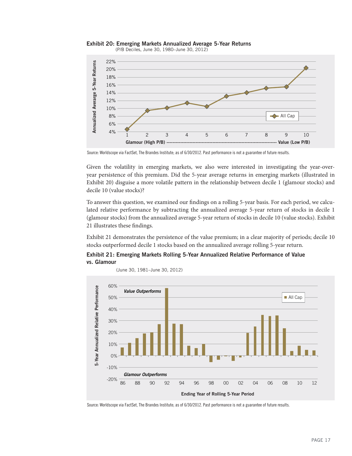

**Exhibit 20: Emerging Markets Annualized Average 5-Year Returns**

Source: Worldscope via FactSet, The Brandes Institute; as of 6/30/2012. Past performance is not a guarantee of future results.

Given the volatility in emerging markets, we also were interested in investigating the year-overyear persistence of this premium. Did the 5-year average returns in emerging markets (illustrated in Exhibit 20) disguise a more volatile pattern in the relationship between decile 1 (glamour stocks) and decile 10 (value stocks)?

To answer this question, we examined our findings on a rolling 5-year basis. For each period, we calculated relative performance by subtracting the annualized average 5-year return of stocks in decile 1 (glamour stocks) from the annualized average 5-year return of stocks in decile 10 (value stocks). Exhibit 21 illustrates these findings.

Exhibit 21 demonstrates the persistence of the value premium; in a clear majority of periods; decile 10

**Exhibit 21: Emerging Markets Rolling 5-Year Annualized Relative Performance of Value vs. Glamour** 

(June 30, 1981–June 30, 2012)



Source: Worldscope via FactSet, The Brandes Institute; as of 6/30/2012. Past performance is not a guarantee of future results.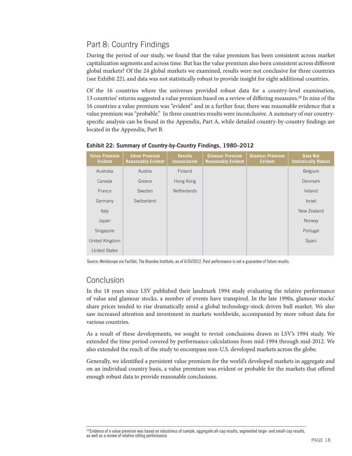# Part 8: Country Findings

During the period of our study, we found that the value premium has been consistent across market capitalization segments and across time. But has the value premium also been consistent across different global markets? Of the 24 global markets we examined, results were not conclusive for three countries (see Exhibit 22), and data was not statistically robust to provide insight for eight additional countries.

Of the 16 countries where the universes provided robust data for a country-level examination, 13 countries' returns suggested a value premium based on a review of differing measures.<sup>28</sup> In nine of the 16 countries a value premium was "evident" and in a further four, there was reasonable evidence that a value premium was "probable." In three countries results were inconclusive. A summary of our countryspecific analysis can be found in the Appendix, Part A, while detailed country-by-country findings are located in the Appendix, Part B.

| <b>Value Premium</b><br><b>Evident</b> | <b>Value Premium</b><br><b>Reasonably Evident</b> | <b>Results</b><br><b>Inconclusive</b> | <b>Glamour Premium</b><br><b>Reasonably Evident</b> | <b>Glamour Premium</b><br><b>Evident</b> | <b>Data Not</b><br><b>Statistically Robust</b> |
|----------------------------------------|---------------------------------------------------|---------------------------------------|-----------------------------------------------------|------------------------------------------|------------------------------------------------|
| Australia                              | Austria                                           | Finland                               |                                                     |                                          | Belgium                                        |
| Canada                                 | Greece                                            | Hong Kong                             |                                                     |                                          | Denmark                                        |
| France                                 | Sweden                                            | <b>Netherlands</b>                    |                                                     |                                          | Ireland                                        |
| Germany                                | Switzerland                                       |                                       |                                                     |                                          | <b>Israel</b>                                  |
| Italy                                  |                                                   |                                       |                                                     |                                          | New Zealand                                    |
| Japan                                  |                                                   |                                       |                                                     |                                          | Norway                                         |
| Singapore                              |                                                   |                                       |                                                     |                                          | Portugal                                       |
| United Kingdom                         |                                                   |                                       |                                                     |                                          | Spain                                          |
| <b>United States</b>                   |                                                   |                                       |                                                     |                                          |                                                |

**Exhibit 22: Summary of Country-by-Country Findings, 1980–2012**

Source: Worldscope via FactSet, The Brandes Institute; as of 6/30/2012. Past performance is not a guarantee of future results.

# Conclusion

In the 18 years since LSV published their landmark 1994 study evaluating the relative performance of value and glamour stocks, a number of events have transpired. In the late 1990s, glamour stocks' share prices tended to rise dramatically amid a global technology-stock driven bull market. We also saw increased attention and investment in markets worldwide, accompanied by more robust data for various countries.

As a result of these developments, we sought to revisit conclusions drawn in LSV's 1994 study. We extended the time period covered by performance calculations from mid-1994 through mid-2012. We also extended the reach of the study to encompass non-U.S. developed markets across the globe.

Generally, we identified a persistent value premium for the world's developed markets in aggregate and on an individual country basis, a value premium was evident or probable for the markets that offered enough robust data to provide reasonable conclusions.

<sup>&</sup>lt;sup>28</sup> Evidence of a value premium was based on robustness of sample, aggregate all-cap results, segmented large- and small-cap results, as well as a review of relative rolling performance.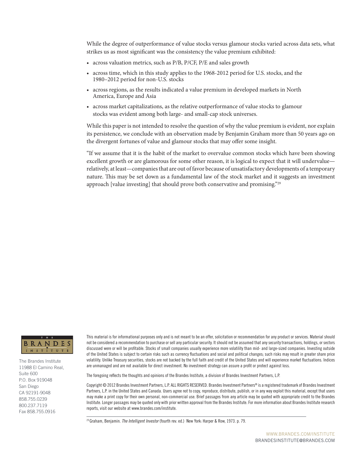While the degree of outperformance of value stocks versus glamour stocks varied across data sets, what strikes us as most significant was the consistency the value premium exhibited:

- across valuation metrics, such as P/B, P/CF, P/E and sales growth
- across time, which in this study applies to the 1968-2012 period for U.S. stocks, and the 1980–2012 period for non-U.S. stocks
- across regions, as the results indicated a value premium in developed markets in North America, Europe and Asia
- across market capitalizations, as the relative outperformance of value stocks to glamour stocks was evident among both large- and small-cap stock universes.

While this paper is not intended to resolve the question of why the value premium is evident, nor explain its persistence, we conclude with an observation made by Benjamin Graham more than 50 years ago on the divergent fortunes of value and glamour stocks that may offer some insight.

"If we assume that it is the habit of the market to overvalue common stocks which have been showing excellent growth or are glamorous for some other reason, it is logical to expect that it will undervalue relatively, at least—companies that are out of favor because of unsatisfactory developments of a temporary nature. This may be set down as a fundamental law of the stock market and it suggests an investment approach [value investing] that should prove both conservative and promising."<sup>29</sup>



The Brandes Institute 11988 El Camino Real, Suite 600 P.O. Box 919048 San Diego CA 92191-9048 858.755.0239 800.237.7119 Fax 858.755.0916

This material is for informational purposes only and is not meant to be an offer, solicitation or recommendation for any product or services. Material should not be considered a recommendation to purchase or sell any particular security. It should not be assumed that any security transactions, holdings, or sectors discussed were or will be profitable. Stocks of small companies usually experience more volatility than mid- and large-sized companies. Investing outside of the United States is subject to certain risks such as currency fluctuations and social and political changes; such risks may result in greater share price volatility. Unlike Treasury securities, stocks are not backed by the full faith and credit of the United States and will experience market fluctuations. Indices are unmanaged and are not available for direct investment. No investment strategy can assure a profit or protect against loss.

The foregoing reflects the thoughts and opinions of the Brandes Institute, a division of Brandes Investment Partners, L.P.

Copyright © 2012 Brandes Investment Partners, L.P. ALL RIGHTS RESERVED. Brandes Investment Partners® is a registered trademark of Brandes Investment Partners, L.P. in the United States and Canada. Users agree not to copy, reproduce, distribute, publish, or in any way exploit this material, except that users may make a print copy for their own personal, non-commercial use. Brief passages from any article may be quoted with appropriate credit to the Brandes Institute. Longer passages may be quoted only with prior written approval from the Brandes Institute. For more information about Brandes Institute research reports, visit our website at www.brandes.com/institute.

<sup>29</sup> Graham, Benjamin. The Intelligent Investor (fourth rev. ed.) New York: Harper & Row, 1973. p. 79.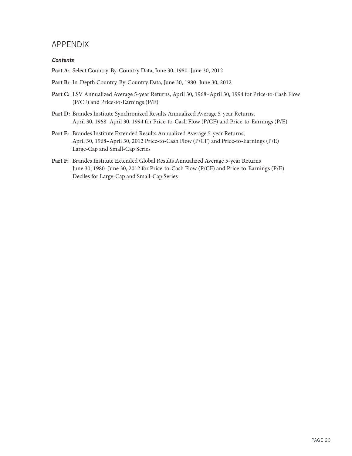### APPENDIX

#### *Contents*

- **Part A:** Select Country-By-Country Data, June 30, 1980–June 30, 2012
- **Part B:** In-Depth Country-By-Country Data, June 30, 1980–June 30, 2012
- **Part C:** LSV Annualized Average 5-year Returns, April 30, 1968–April 30, 1994 for Price-to-Cash Flow (P/CF) and Price-to-Earnings (P/E)
- **Part D:** Brandes Institute Synchronized Results Annualized Average 5-year Returns, April 30, 1968–April 30, 1994 for Price-to-Cash Flow (P/CF) and Price-to-Earnings (P/E)
- **Part E:** Brandes Institute Extended Results Annualized Average 5-year Returns, April 30, 1968–April 30, 2012 Price-to-Cash Flow (P/CF) and Price-to-Earnings (P/E) Large-Cap and Small-Cap Series
- **Part F:** Brandes Institute Extended Global Results Annualized Average 5-year Returns June 30, 1980–June 30, 2012 for Price-to-Cash Flow (P/CF) and Price-to-Earnings (P/E) Deciles for Large-Cap and Small-Cap Series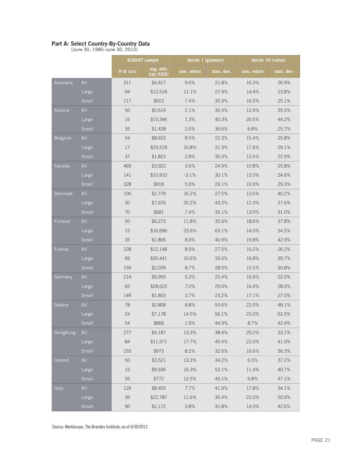#### **Part A: Select Country-By-Country Data**

(June 30, 1980–June 30, 2012)

|                |       |           | 6/30/07 sample          |             | decile 1 (glamour) | decile 10 (value) |            |
|----------------|-------|-----------|-------------------------|-------------|--------------------|-------------------|------------|
|                |       | # of co's | avg. mkt.<br>cap (US\$) | ann. return | stan. dev.         | ann. return       | stan. dev. |
| Australia      | All   | 311       | \$4,427                 | 9.6%        | 21.8%              | 16.3%             | 26.9%      |
|                | Large | 94        | \$12,518                | 11.1%       | 27.9%              | 14.4%             | 23.8%      |
|                | Small | 217       | \$923                   | 7.4%        | 30.3%              | 16.5%             | 25.1%      |
| Austria        | AII   | 50        | \$5,619                 | 2.1%        | 30.4%              | 12.9%             | 35.5%      |
|                | Large | 15        | \$15,396                | 1.3%        | 40.3%              | 20.5%             | 44.2%      |
|                | Small | 35        | \$1,428                 | 2.0%        | 36.6%              | 6.8%              | 25.7%      |
| <b>Belgium</b> | All   | 54        | \$8,653                 | 8.5%        | 22.3%              | 15.4%             | 25.8%      |
|                | Large | 17        | \$23,519                | 10.8%       | 31.3%              | 17.6%             | 29.1%      |
|                | Small | 37        | \$1,823                 | 2.8%        | 30.3%              | 13.5%             | 22.9%      |
| Canada         | All   | 469       | \$3,922                 | 3.6%        | 24.9%              | 10.8%             | 25.8%      |
|                | Large | 141       | \$10,910                | $-3.1%$     | 30.1%              | 13.0%             | 24.6%      |
|                | Small | 328       | \$918                   | 5.6%        | 29.1%              | 10.9%             | 29.3%      |
| Denmark        | AII   | 100       | \$2,779                 | 16.2%       | 27.5%              | 13.5%             | 40.2%      |
|                | Large | 30        | \$7,676                 | 20.2%       | 43.2%              | 12.3%             | 27.6%      |
|                | Small | 70        | \$681                   | 7.4%        | 35.1%              | 13.0%             | 31.0%      |
| Finland        | All   | 50        | \$6,273                 | 11.8%       | 35.6%              | 18.6%             | 37.8%      |
|                | Large | 15        | \$16,696                | 23.6%       | 63.1%              | 14.0%             | 34.5%      |
|                | Small | 35        | \$1,806                 | 8.9%        | 40.9%              | 19.8%             | 42.9%      |
| France         | All   | 228       | \$12,148                | 8.9%        | 27.5%              | 16.2%             | 26.2%      |
|                | Large | 69        | \$35,441                | 10.6%       | 33.0%              | 16.8%             | 39.7%      |
|                | Small | 159       | \$2,039                 | 8.7%        | 28.0%              | 15.5%             | 30.8%      |
| Germany        | AII   | 214       | \$9,950                 | 5.3%        | 25.4%              | 16.9%             | 22.0%      |
|                | Large | 65        | \$28,625                | 7.0%        | 29.0%              | 16.4%             | 28.0%      |
|                | Small | 149       | \$1,803                 | 3.7%        | 23.2%              | 17.1%             | 27.0%      |
| Greece         | All   | 78        | \$2,808                 | 8.8%        | 53.6%              | 22.0%             | 48.1%      |
|                | Large | 24        | \$7,178                 | 14.5%       | 56.1%              | 23.0%             | 62.5%      |
|                | Small | 54        | \$866                   | 1.9%        | 44.9%              | 8.7%              | 42.4%      |
| HongKong       | AII   | 277       | \$4,187                 | 13.3%       | 38.4%              | 20.2%             | 33.1%      |
|                | Large | 84        | \$11,571                | 17.7%       | 40.4%              | 22.0%             | 41.0%      |
|                | Small | 193       | \$973                   | 8.2%        | 32.6%              | 16.6%             | 36.3%      |
| Ireland        | All   | 50        | \$3,521                 | 13.3%       | 34.2%              | 6.5%              | 37.2%      |
|                | Large | 15        | \$9,936                 | 16.3%       | 52.1%              | 11.4%             | 40.7%      |
|                | Small | 35        | \$772                   | 12.5%       | 45.1%              | 6.8%              | 47.1%      |
| Italy          | All   | 129       | \$8,405                 | 7.7%        | 41.9%              | 17.8%             | 34.1%      |
|                | Large | 39        | \$22,787                | 11.6%       | 35.4%              | 22.0%             | 50.9%      |
|                | Small | 90        | \$2,172                 | 3.8%        | 31.8%              | 14.0%             | 42.6%      |

Source: Worldscope, The Brandes Institute; as of 6/30/2012.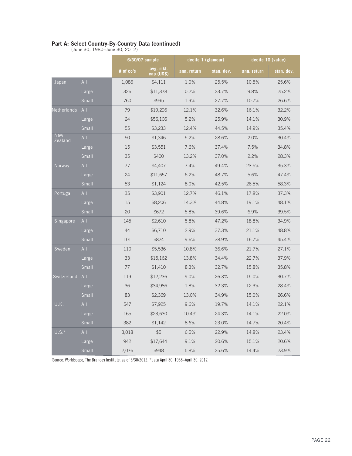#### **Part A: Select Country-By-Country Data (continued)**

(June 30, 1980–June 30, 2012)

|                       |          |           | 6/30/07 sample          | decile 1 (glamour) |            | decile 10 (value) |            |
|-----------------------|----------|-----------|-------------------------|--------------------|------------|-------------------|------------|
|                       |          | # of co's | avg. mkt.<br>cap (US\$) | ann. return        | stan. dev. | ann. return       | stan. dev. |
| Japan                 | AII      | 1,086     | \$4,111                 | 1.0%               | 25.5%      | 10.5%             | 25.6%      |
|                       | Large    | 326       | \$11,378                | 0.2%               | 23.7%      | 9.8%              | 25.2%      |
|                       | Small    | 760       | \$995                   | 1.9%               | 27.7%      | 10.7%             | 26.6%      |
| Netherlands           | All      | 79        | \$19,296                | 12.1%              | 32.6%      | 16.1%             | 32.2%      |
|                       | Large    | 24        | \$56,106                | 5.2%               | 25.9%      | 14.1%             | 30.9%      |
|                       | Small    | 55        | \$3,233                 | 12.4%              | 44.5%      | 14.9%             | 35.4%      |
| <b>New</b><br>Zealand | All      | 50        | \$1,346                 | 5.2%               | 28.6%      | 2.0%              | 30.4%      |
|                       | Large    | 15        | \$3,551                 | 7.6%               | 37.4%      | 7.5%              | 34.8%      |
|                       | $S$ mall | 35        | \$400                   | 13.2%              | 37.0%      | 2.2%              | 28.3%      |
| Norway                | All      | 77        | \$4,407                 | 7.4%               | 49.4%      | 23.5%             | 35.3%      |
|                       | Large    | 24        | \$11,657                | 6.2%               | 48.7%      | 5.6%              | 47.4%      |
|                       | Small    | 53        | \$1,124                 | 8.0%               | 42.5%      | 26.5%             | 58.3%      |
| Portugal              | All      | 35        | \$3,901                 | 12.7%              | 46.1%      | 17.8%             | 37.3%      |
|                       | Large    | 15        | \$8,206                 | 14.3%              | 44.8%      | 19.1%             | 48.1%      |
|                       | Small    | 20        | \$672                   | 5.8%               | 39.6%      | 6.9%              | 39.5%      |
| Singapore             | AII      | 145       | \$2,610                 | 5.8%               | 47.2%      | 18.8%             | 34.9%      |
|                       | Large    | 44        | \$6,710                 | 2.9%               | 37.3%      | 21.1%             | 48.8%      |
|                       | Small    | 101       | \$824                   | 9.6%               | 38.9%      | 16.7%             | 45.4%      |
| Sweden                | AII      | 110       | \$5,536                 | 10.8%              | 36.6%      | 21.7%             | 27.1%      |
|                       | Large    | 33        | \$15,162                | 13.8%              | 34.4%      | 22.7%             | 37.9%      |
|                       | Small    | 77        | \$1,410                 | 8.3%               | 32.7%      | 15.8%             | 35.8%      |
| Switzerland           | All      | 119       | \$12,236                | 9.0%               | 26.3%      | 15.0%             | 30.7%      |
|                       | Large    | 36        | \$34,986                | 1.8%               | 32.3%      | 12.3%             | 28.4%      |
|                       | Small    | 83        | \$2,369                 | 13.0%              | 34.9%      | 15.0%             | 26.6%      |
| U.K.                  | AII      | 547       | \$7,925                 | 9.6%               | 19.7%      | 14.1%             | 22.1%      |
|                       | Large    | 165       | \$23,630                | 10.4%              | 24.3%      | 14.1%             | 22.0%      |
|                       | Small    | 382       | \$1,142                 | 8.6%               | 23.0%      | 14.7%             | 20.4%      |
| $U.S.*$               | AII      | 3,018     | \$5                     | 6.5%               | 22.9%      | 14.8%             | 23.4%      |
|                       | Large    | 942       | \$17,644                | 9.1%               | 20.6%      | 15.1%             | 20.6%      |
|                       | Small    | 2,076     | \$948                   | 5.8%               | 25.6%      | 14.4%             | 23.9%      |

Source: Worldscope, The Brandes Institute; as of 6/30/2012. \*data April 30, 1968–April 30, 2012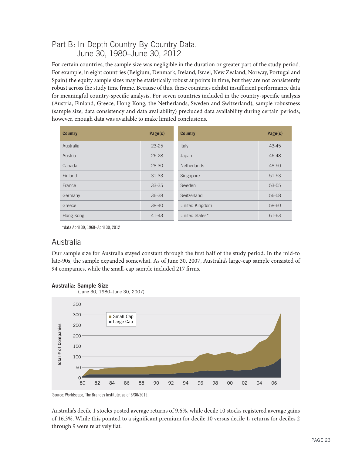## Part B: In-Depth Country-By-Country Data, June 30, 1980–June 30, 2012

For certain countries, the sample size was negligible in the duration or greater part of the study period. For example, in eight countries (Belgium, Denmark, Ireland, Israel, New Zealand, Norway, Portugal and Spain) the equity sample sizes may be statistically robust at points in time, but they are not consistently robust across the study time frame. Because of this, these countries exhibit insufficient performance data for meaningful country-specific analysis. For seven countries included in the country-specific analysis (Austria, Finland, Greece, Hong Kong, the Netherlands, Sweden and Switzerland), sample robustness (sample size, data consistency and data availability) precluded data availability during certain periods; however, enough data was available to make limited conclusions.

| <b>Country</b> | Page(s)   | <b>Country</b>     | Page(s)   |
|----------------|-----------|--------------------|-----------|
| Australia      | $23 - 25$ | Italy              | $43 - 45$ |
| Austria        | $26 - 28$ | Japan              | 46-48     |
| Canada         | $28 - 30$ | <b>Netherlands</b> | $48 - 50$ |
| Finland        | $31 - 33$ | Singapore          | 51-53     |
| France         | $33 - 35$ | Sweden             | 53-55     |
| Germany        | 36-38     | Switzerland        | 56-58     |
| Greece         | $38-40$   | United Kingdom     | 58-60     |
| Hong Kong      | 41-43     | United States*     | 61-63     |

\*data April 30, 1968–April 30, 2012

### Australia

Our sample size for Australia stayed constant through the first half of the study period. In the mid-to late-90s, the sample expanded somewhat. As of June 30, 2007, Australia's large-cap sample consisted of 94 companies, while the small-cap sample included 217 firms.





Source: Worldscope, The Brandes Institute; as of 6/30/2012.

Australia's decile 1 stocks posted average returns of 9.6%, while decile 10 stocks registered average gains of 16.3%. While this pointed to a significant premium for decile 10 versus decile 1, returns for deciles 2 through 9 were relatively flat.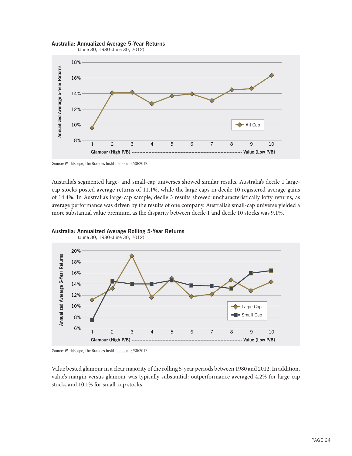

#### **Australia: Annualized Average 5-Year Returns**

Source: Worldscope, The Brandes Institute; as of 6/30/2012.

Australia's segmented large- and small-cap universes showed similar results. Australia's decile 1 largecap stocks posted average returns of 11.1%, while the large caps in decile 10 registered average gains of 14.4%. In Australia's large-cap sample, decile 3 results showed uncharacteristically lofty returns, as average performance was driven by the results of one company. Australia's small-cap universe yielded a





(June 30, 1980–June 30, 2012)

Source: Worldscope, The Brandes Institute; as of 6/30/2012.

Value bested glamour in a clear majority of the rolling 5-year periods between 1980 and 2012. In addition, value's margin versus glamour was typically substantial: outperformance averaged 4.2% for large-cap stocks and 10.1% for small-cap stocks.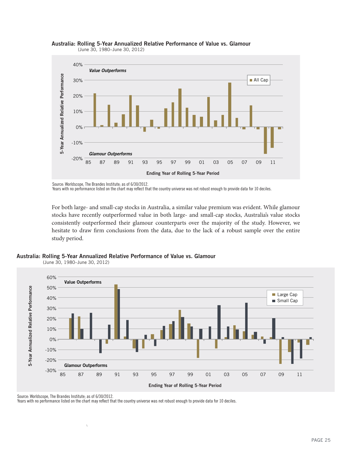



(June 30, 1980–June 30, 2012)

Source: Worldscope, The Brandes Institute; as of 6/30/2012.

Years with no performance listed on the chart may reflect that the country universe was not robust enough to provide data for 10 deciles.

For both large- and small-cap stocks in Australia, a similar value premium was evident. While glamour stocks have recently outperformed value in both large- and small-cap stocks, Australia's value stocks consistently outperformed their glamour counterparts over the majority of the study. However, we hesitate to draw firm conclusions from the data, due to the lack of a robust sample over the entire

**Australia: Rolling 5-Year Annualized Relative Performance of Value vs. Glamour**

(June 30, 1980–June 30, 2012)



Source: Worldscope, The Brandes Institute; as of 6/30/2012.

\

Years with no performance listed on the chart may reflect that the country universe was not robust enough to provide data for 10 deciles.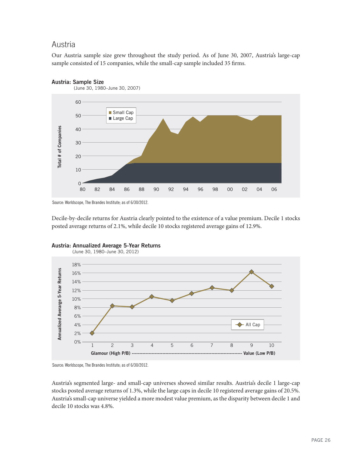### Austria

Our Austria sample size grew throughout the study period. As of June 30, 2007, Austria's large-cap sample consisted of 15 companies, while the small-cap sample included 35 firms.



Source: Worldscope, The Brandes Institute; as of 6/30/2012.

Decile-by-decile returns for Austria clearly pointed to the existence of a value premium. Decile 1 stocks posted average returns of 2.1%, while decile 10 stocks registered average gains of 12.9%.





Source: Worldscope, The Brandes Institute; as of 6/30/2012.

Austria's segmented large- and small-cap universes showed similar results. Austria's decile 1 large-cap stocks posted average returns of 1.3%, while the large caps in decile 10 registered average gains of 20.5%. Austria's small-cap universe yielded a more modest value premium, as the disparity between decile 1 and decile 10 stocks was 4.8%.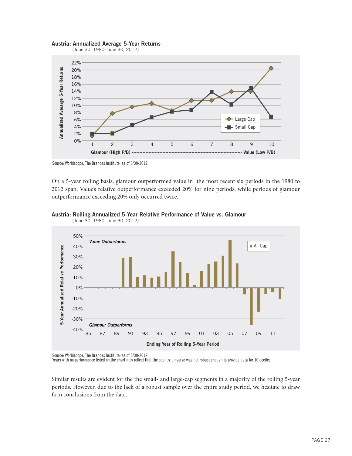#### **Austria: Annualized Average 5-Year Returns** (June 30, 1980–June 30, 2012)



Source: Worldscope, The Brandes Institute; as of 6/30/2012.

On a 5-year rolling basis, glamour outperformed value in the most recent six periods in the 1980 to 2012 span. Value's relative outperformance exceeded 20% for nine periods, while periods of glamour outperformance exceeding 20% only occurred twice.



### **Austria: Rolling Annualized 5-Year Relative Performance of Value vs. Glamour**

Source: Worldscope, The Brandes Institute; as of 6/30/2012.

Years with no performance listed on the chart may reflect that the country universe was not robust enough to provide data for 10 deciles.

Similar results are evident for the the small- and large-cap segments in a majority of the rolling 5-year periods. However, due to the lack of a robust sample over the entire study period, we hesitate to draw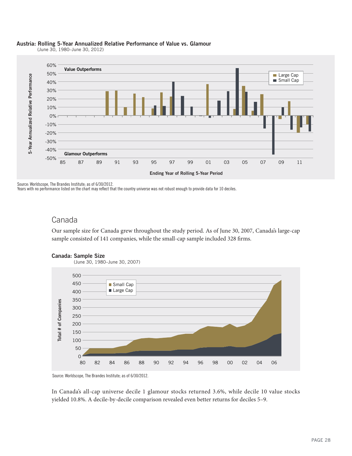

(June 30, 1980–June 30, 2012)



Source: Worldscope, The Brandes Institute; as of 6/30/2012.

Years with no performance listed on the chart may reflect that the country universe was not robust enough to provide data for 10 deciles.

### Canada

Our sample size for Canada grew throughout the study period. As of June 30, 2007, Canada's large-cap sample consisted of 141 companies, while the small-cap sample included 328 firms.



### **Canada: Sample Size**

Source: Worldscope, The Brandes Institute; as of 6/30/2012.

In Canada's all-cap universe decile 1 glamour stocks returned 3.6%, while decile 10 value stocks yielded 10.8%. A decile-by-decile comparison revealed even better returns for deciles 5–9.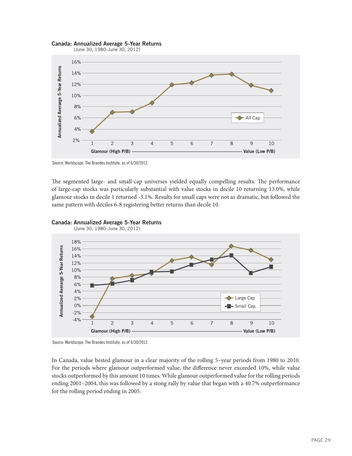

Source: Worldscope, The Brandes Institute; as of 6/30/2012.

The segmented large- and small-cap universes yielded equally compelling results. The performance of large-cap stocks was particularly substantial with value stocks in decile 10 returning 13.0%, while glamour stocks in decile 1 returned -3.1%. Results for small caps were not as dramatic, but followed the





Source: Worldscope, The Brandes Institute; as of 6/30/2012.

In Canada, value bested glamour in a clear majority of the rolling 5–year periods from 1980 to 2010. For the periods where glamour outperformed value, the difference never exceeded 10%, while value stocks outperformed by this amount 10 times. While glamour outperformed value for the rolling periods ending 2001–2004, this was followed by a stong rally by value that began with a 40.7% outperformance for the rolling period ending in 2005.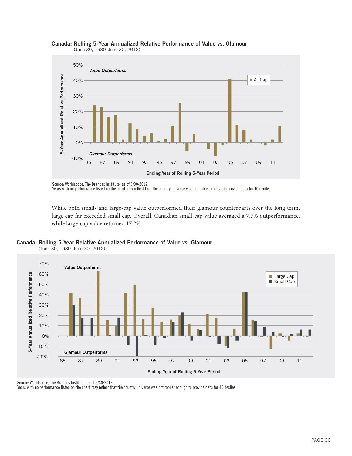

### **Canada: Rolling 5-Year Annualized Relative Performance of Value vs. Glamour**

(June 30, 1980–June 30, 2012)

Years with no performance listed on the chart may reflect that the country universe was not robust enough to provide data for 10 deciles.

While both small- and large-cap value outperformed their glamour counterparts over the long term, large cap far exceeded small cap. Overall, Canadian small-cap value averaged a 7.7% outperformance,



(June 30, 1980–June 30, 2012)



Source: Worldscope, The Brandes Institute; as of 6/30/2012.

Years with no performance listed on the chart may reflect that the country universe was not robust enough to provide data for 10 deciles.

Source: Worldscope, The Brandes Institute; as of 6/30/2012.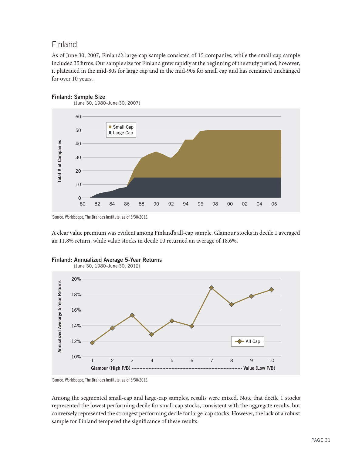### Finland

As of June 30, 2007, Finland's large-cap sample consisted of 15 companies, while the small-cap sample included 35 firms. Our sample size for Finland grew rapidly at the beginning of the study period; however, it plateaued in the mid-80s for large cap and in the mid-90s for small cap and has remained unchanged for over 10 years.





Source: Worldscope, The Brandes Institute; as of 6/30/2012.

A clear value premium was evident among Finland's all-cap sample. Glamour stocks in decile 1 averaged an 11.8% return, while value stocks in decile 10 returned an average of 18.6%.





Source: Worldscope, The Brandes Institute; as of 6/30/2012.

Among the segmented small-cap and large-cap samples, results were mixed. Note that decile 1 stocks represented the lowest performing decile for small-cap stocks, consistent with the aggregate results, but conversely represented the strongest performing decile for large-cap stocks. However, the lack of a robust sample for Finland tempered the significance of these results.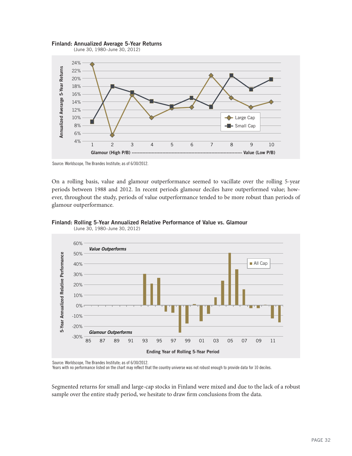



Source: Worldscope, The Brandes Institute; as of 6/30/2012.

On a rolling basis, value and glamour outperformance seemed to vacillate over the rolling 5-year periods between 1988 and 2012. In recent periods glamour deciles have outperformed value; however, throughout the study, periods of value outperformance tended to be more robust than periods of glamour outperformance.



#### **Finland: Rolling 5-Year Annualized Relative Performance of Value vs. Glamour**

Source: Worldscope, The Brandes Institute; as of 6/30/2012.

Years with no performance listed on the chart may reflect that the country universe was not robust enough to provide data for 10 deciles.

Segmented returns for small and large-cap stocks in Finland were mixed and due to the lack of a robust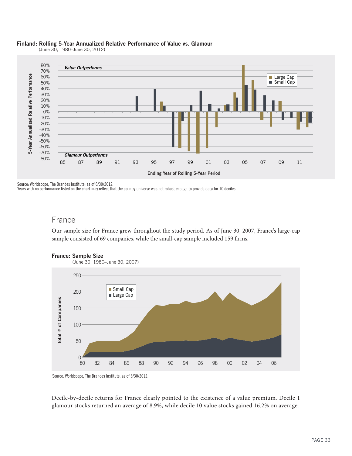

(June 30, 1980–June 30, 2012)



Source: Worldscope, The Brandes Institute; as of 6/30/2012.

Years with no performance listed on the chart may reflect that the country universe was not robust enough to provide data for 10 deciles.

### France

Our sample size for France grew throughout the study period. As of June 30, 2007, France's large-cap sample consisted of 69 companies, while the small-cap sample included 159 firms.



### **France: Sample Size**

Source: Worldscope, The Brandes Institute; as of 6/30/2012.

Decile-by-decile returns for France clearly pointed to the existence of a value premium. Decile 1 glamour stocks returned an average of 8.9%, while decile 10 value stocks gained 16.2% on average.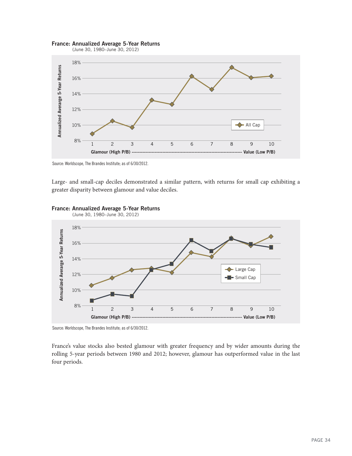

#### **France: Annualized Average 5-Year Returns**

(June 30, 1980–June 30, 2012)

Source: Worldscope, The Brandes Institute; as of 6/30/2012.

Large- and small-cap deciles demonstrated a similar pattern, with returns for small cap exhibiting a



#### **France: Annualized Average 5-Year Returns**

Source: Worldscope, The Brandes Institute; as of 6/30/2012.

France's value stocks also bested glamour with greater frequency and by wider amounts during the rolling 5-year periods between 1980 and 2012; however, glamour has outperformed value in the last four periods.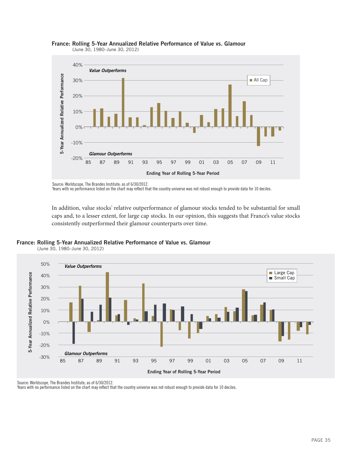

#### **France: Rolling 5-Year Annualized Relative Performance of Value vs. Glamour** (June 30, 1980–June 30, 2012)

Years with no performance listed on the chart may reflect that the country universe was not robust enough to provide data for 10 deciles.

In addition, value stocks' relative outperformance of glamour stocks tended to be substantial for small caps and, to a lesser extent, for large cap stocks. In our opinion, this suggests that France's value stocks



(June 30, 1980–June 30, 2012)



Source: Worldscope, The Brandes Institute; as of 6/30/2012.

Years with no performance listed on the chart may reflect that the country universe was not robust enough to provide data for 10 deciles.

Source: Worldscope, The Brandes Institute; as of 6/30/2012.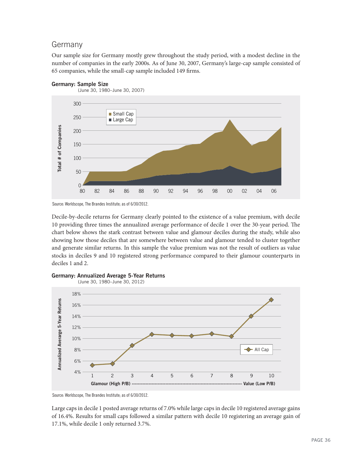### Germany

Our sample size for Germany mostly grew throughout the study period, with a modest decline in the number of companies in the early 2000s. As of June 30, 2007, Germany's large-cap sample consisted of 65 companies, while the small-cap sample included 149 firms.



**Germany: Sample Size**



Decile-by-decile returns for Germany clearly pointed to the existence of a value premium, with decile 10 providing three times the annualized average performance of decile 1 over the 30-year period. The chart below shows the stark contrast between value and glamour deciles during the study, while also showing how those deciles that are somewhere between value and glamour tended to cluster together and generate similar returns. In this sample the value premium was not the result of outliers as value stocks in deciles 9 and 10 registered strong performance compared to their glamour counterparts in deciles 1 and 2.



#### **Germany: Annualized Average 5-Year Returns**

Source: Worldscope, The Brandes Institute; as of 6/30/2012.

Large caps in decile 1 posted average returns of 7.0% while large caps in decile 10 registered average gains of 16.4%. Results for small caps followed a similar pattern with decile 10 registering an average gain of 17.1%, while decile 1 only returned 3.7%.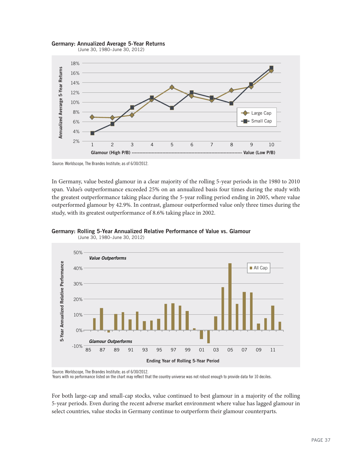

#### **Germany: Annualized Average 5-Year Returns**

Source: Worldscope, The Brandes Institute; as of 6/30/2012.

In Germany, value bested glamour in a clear majority of the rolling 5-year periods in the 1980 to 2010 span. Value's outperformance exceeded 25% on an annualized basis four times during the study with the greatest outperformance taking place during the 5-year rolling period ending in 2005, where value outperformed glamour by 42.9%. In contrast, glamour outperformed value only three times during the study, with its greatest outperformance of 8.6% taking place in 2002.





(June 30, 1980–June 30, 2012)

Source: Worldscope, The Brandes Institute; as of 6/30/2012.

Years with no performance listed on the chart may reflect that the country universe was not robust enough to provide data for 10 deciles.

For both large-cap and small-cap stocks, value continued to best glamour in a majority of the rolling 5-year periods. Even during the recent adverse market environment where value has lagged glamour in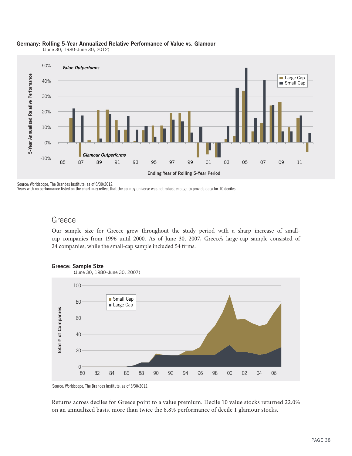

#### **Germany: Rolling 5-Year Annualized Relative Performance of Value vs. Glamour**

(June 30, 1980–June 30, 2012)

Source: Worldscope, The Brandes Institute; as of 6/30/2012.

Years with no performance listed on the chart may reflect that the country universe was not robust enough to provide data for 10 deciles.

### Greece

Our sample size for Greece grew throughout the study period with a sharp increase of smallcap companies from 1996 until 2000. As of June 30, 2007, Greece's large-cap sample consisted of 24 companies, while the small-cap sample included 54 firms.





Source: Worldscope, The Brandes Institute; as of 6/30/2012.

Returns across deciles for Greece point to a value premium. Decile 10 value stocks returned 22.0% on an annualized basis, more than twice the 8.8% performance of decile 1 glamour stocks.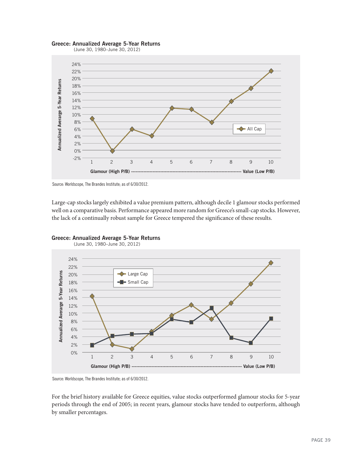#### **Greece: Annualized Average 5-Year Returns**







Large-cap stocks largely exhibited a value premium pattern, although decile 1 glamour stocks performed well on a comparative basis. Performance appeared more random for Greece's small-cap stocks. However,



**Greece: Annualized Average 5-Year Returns**

Source: Worldscope, The Brandes Institute; as of 6/30/2012.

For the brief history available for Greece equities, value stocks outperformed glamour stocks for 5-year periods through the end of 2005; in recent years, glamour stocks have tended to outperform, although by smaller percentages.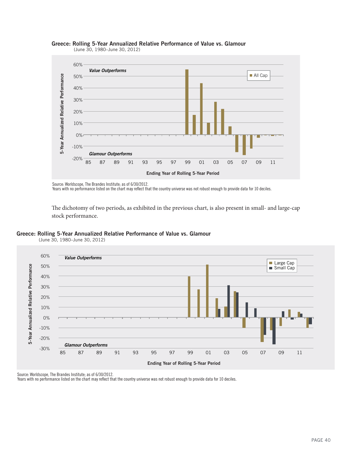

#### **Greece: Rolling 5-Year Annualized Relative Performance of Value vs. Glamour**

(June 30, 1980–June 30, 2012)

Source: Worldscope, The Brandes Institute; as of 6/30/2012.

Years with no performance listed on the chart may reflect that the country universe was not robust enough to provide data for 10 deciles.

The dichotomy of two periods, as exhibited in the previous chart, is also present in small- and large-cap

#### **Greece: Rolling 5-Year Annualized Relative Performance of Value vs. Glamour**



(June 30, 1980–June 30, 2012)

Source: Worldscope, The Brandes Institute; as of 6/30/2012.

Years with no performance listed on the chart may reflect that the country universe was not robust enough to provide data for 10 deciles.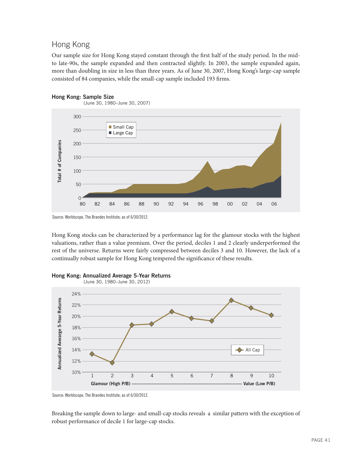### Hong Kong

Our sample size for Hong Kong stayed constant through the first half of the study period. In the midto late-90s, the sample expanded and then contracted slightly. In 2003, the sample expanded again, more than doubling in size in less than three years. As of June 30, 2007, Hong Kong's large-cap sample consisted of 84 companies, while the small-cap sample included 193 firms.





Source: Worldscope, The Brandes Institute; as of 6/30/2012.

Hong Kong stocks can be characterized by a performance lag for the glamour stocks with the highest valuations, rather than a value premium. Over the period, deciles 1 and 2 clearly underperformed the rest of the universe. Returns were fairly compressed between deciles 3 and 10. However, the lack of a continually robust sample for Hong Kong tempered the significance of these results.





Source: Worldscope, The Brandes Institute; as of 6/30/2012.

Breaking the sample down to large- and small-cap stocks reveals a similar pattern with the exception of robust performance of decile 1 for large-cap stocks.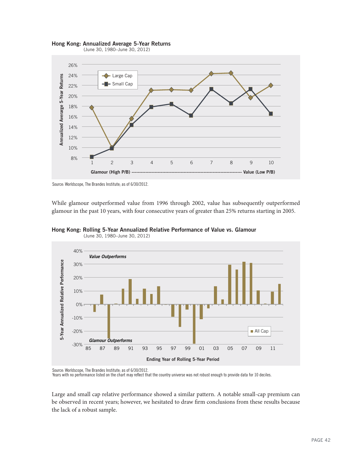

**Hong Kong: Annualized Average 5-Year Returns**



While glamour outperformed value from 1996 through 2002, value has subsequently outperformed glamour in the past 10 years, with four consecutive years of greater than 25% returns starting in 2005.





Source: Worldscope, The Brandes Institute; as of 6/30/2012.<br>Years with no performance listed on the chart may reflect that the country universe was not robust enough to provide data for 10 deciles.

Large and small cap relative performance showed a similar pattern. A notable small-cap premium can be observed in recent years; however, we hesitated to draw firm conclusions from these results because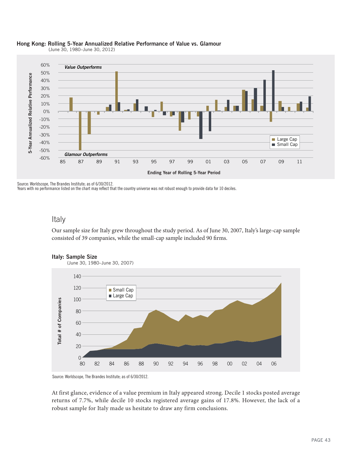

### **Hong Kong: Rolling 5-Year Annualized Relative Performance of Value vs. Glamour**

(June 30, 1980–June 30, 2012)

Source: Worldscope, The Brandes Institute; as of 6/30/2012.

Years with no performance listed on the chart may reflect that the country universe was not robust enough to provide data for 10 deciles.

### Italy

Our sample size for Italy grew throughout the study period. As of June 30, 2007, Italy's large-cap sample consisted of 39 companies, while the small-cap sample included 90 firms.



Source: Worldscope, The Brandes Institute; as of 6/30/2012.

At first glance, evidence of a value premium in Italy appeared strong. Decile 1 stocks posted average returns of 7.7%, while decile 10 stocks registered average gains of 17.8%. However, the lack of a robust sample for Italy made us hesitate to draw any firm conclusions.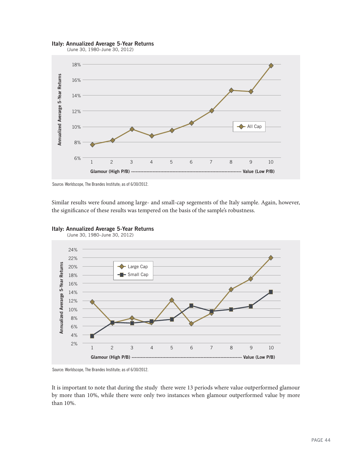#### **Italy: Annualized Average 5-Year Returns**



(June 30, 1980–June 30, 2012)



Similar results were found among large- and small-cap segements of the Italy sample. Again, however,





(June 30, 1980–June 30, 2012)

Source: Worldscope, The Brandes Institute; as of 6/30/2012.

It is important to note that during the study there were 13 periods where value outperformed glamour by more than 10%, while there were only two instances when glamour outperformed value by more than 10%.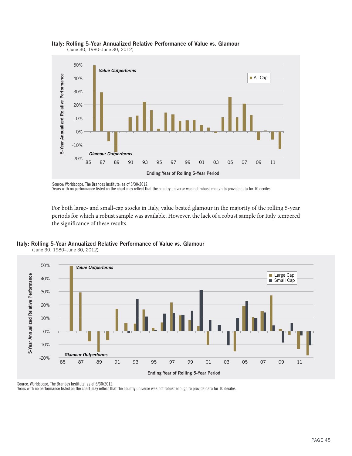



Source: Worldscope, The Brandes Institute; as of 6/30/2012.

Years with no performance listed on the chart may reflect that the country universe was not robust enough to provide data for 10 deciles.

For both large- and small-cap stocks in Italy, value bested glamour in the majority of the rolling 5-year periods for which a robust sample was available. However, the lack of a robust sample for Italy tempered



(June 30, 1980–June 30, 2012)



Source: Worldscope, The Brandes Institute; as of 6/30/2012.

Years with no performance listed on the chart may reflect that the country universe was not robust enough to provide data for 10 deciles.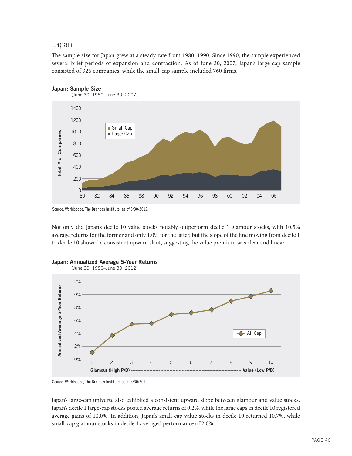### Japan

The sample size for Japan grew at a steady rate from 1980–1990. Since 1990, the sample experienced several brief periods of expansion and contraction. As of June 30, 2007, Japan's large-cap sample consisted of 326 companies, while the small-cap sample included 760 firms.



**Japan: Sample Size**

Source: Worldscope, The Brandes Institute; as of 6/30/2012.

Not only did Japan's decile 10 value stocks notably outperform decile 1 glamour stocks, with 10.5% average returns for the former and only 1.0% for the latter, but the slope of the line moving from decile 1 to decile 10 showed a consistent upward slant, suggesting the value premium was clear and linear.



#### **Japan: Annualized Average 5-Year Returns**

Source: Worldscope, The Brandes Institute; as of 6/30/2012.

Japan's large-cap universe also exhibited a consistent upward slope between glamour and value stocks. Japan's decile 1 large-cap stocks posted average returns of 0.2%, while the large caps in decile 10 registered average gains of 10.0%. In addition, Japan's small-cap value stocks in decile 10 returned 10.7%, while small-cap glamour stocks in decile 1 averaged performance of 2.0%.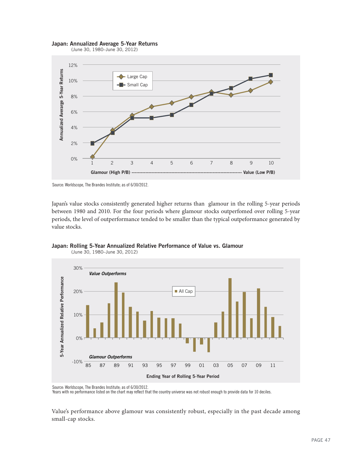#### **Japan: Annualized Average 5-Year Returns**





Source: Worldscope, The Brandes Institute; as of 6/30/2012.

Japan's value stocks consistently generated higher returns than glamour in the rolling 5-year periods between 1980 and 2010. For the four periods where glamour stocks outperfomed over rolling 5-year periods, the level of outperformance tended to be smaller than the typical outpeformance generated by value stocks.



**Japan: Rolling 5-Year Annualized Relative Performance of Value vs. Glamour** (June 30, 1980–June 30, 2012)

Source: Worldscope, The Brandes Institute; as of 6/30/2012.<br>Years with no performance listed on the chart may reflect that the country universe was not robust enough to provide data for 10 deciles.

Value's performance above glamour was consistently robust, especially in the past decade among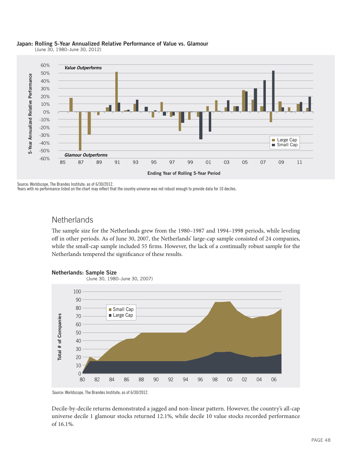

#### **Japan: Rolling 5-Year Annualized Relative Performance of Value vs. Glamour**

(June 30, 1980–June 30, 2012)

Source: Worldscope, The Brandes Institute; as of 6/30/2012.

Years with no performance listed on the chart may reflect that the country universe was not robust enough to provide data for 10 deciles.

### **Netherlands**

The sample size for the Netherlands grew from the 1980–1987 and 1994–1998 periods, while leveling off in other periods. As of June 30, 2007, the Netherlands' large-cap sample consisted of 24 companies, while the small-cap sample included 55 firms. However, the lack of a continually robust sample for the Netherlands tempered the significance of these results.





Source: Worldscope, The Brandes Institute; as of 6/30/2012.

Decile-by-decile returns demonstrated a jagged and non-linear pattern. However, the country's all-cap universe decile 1 glamour stocks returned 12.1%, while decile 10 value stocks recorded performance of 16.1%.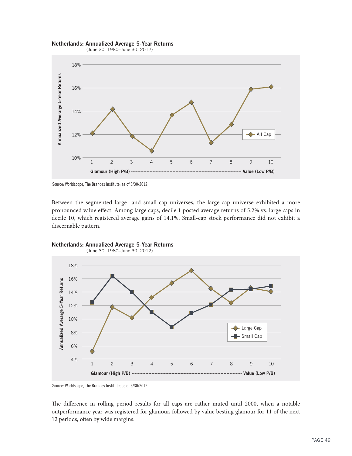#### **Netherlands: Annualized Average 5-Year Returns**

(June 30, 1980–June 30, 2012)



Source: Worldscope, The Brandes Institute; as of 6/30/2012.

Between the segmented large- and small-cap universes, the large-cap universe exhibited a more pronounced value effect. Among large caps, decile 1 posted average returns of 5.2% vs. large caps in decile 10, which registered average gains of 14.1%. Small-cap stock performance did not exhibit a



**Netherlands: Annualized Average 5-Year Returns**

Source: Worldscope, The Brandes Institute; as of 6/30/2012.

The difference in rolling period results for all caps are rather muted until 2000, when a notable outperformance year was registered for glamour, followed by value besting glamour for 11 of the next 12 periods, often by wide margins.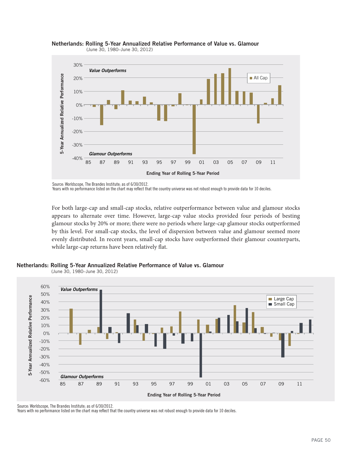

**Netherlands: Rolling 5-Year Annualized Relative Performance of Value vs. Glamour** (June 30, 1980–June 30, 2012)

Source: Worldscope, The Brandes Institute; as of 6/30/2012.

Years with no performance listed on the chart may reflect that the country universe was not robust enough to provide data for 10 deciles.

For both large-cap and small-cap stocks, relative outperformance between value and glamour stocks appears to alternate over time. However, large-cap value stocks provided four periods of besting glamour stocks by 20% or more; there were no periods where large-cap glamour stocks outperformed by this level. For small-cap stocks, the level of dispersion between value and glamour seemed more evenly distributed. In recent years, small-cap stocks have outperformed their glamour counterparts,

**Netherlands: Rolling 5-Year Annualized Relative Performance of Value vs. Glamour**





Source: Worldscope, The Brandes Institute; as of 6/30/2012.

Years with no performance listed on the chart may reflect that the country universe was not robust enough to provide data for 10 deciles.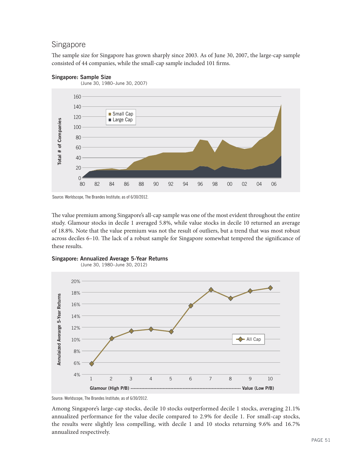### Singapore

The sample size for Singapore has grown sharply since 2003. As of June 30, 2007, the large-cap sample consisted of 44 companies, while the small-cap sample included 101 firms.

#### **Singapore: Sample Size**



Source: Worldscope, The Brandes Institute; as of 6/30/2012.

The value premium among Singapore's all-cap sample was one of the most evident throughout the entire study. Glamour stocks in decile 1 averaged 5.8%, while value stocks in decile 10 returned an average of 18.8%. Note that the value premium was not the result of outliers, but a trend that was most robust across deciles 6–10. The lack of a robust sample for Singapore somewhat tempered the significance of these results.







Source: Worldscope, The Brandes Institute; as of 6/30/2012.

Among Singapore's large-cap stocks, decile 10 stocks outperformed decile 1 stocks, averaging 21.1% annualized performance for the value decile compared to 2.9% for decile 1. For small-cap stocks, the results were slightly less compelling, with decile 1 and 10 stocks returning 9.6% and 16.7% annualized respectively.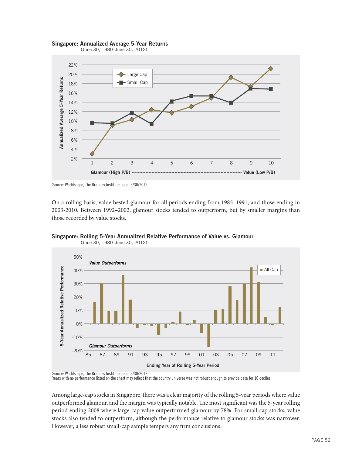



Source: Worldscope, The Brandes Institute; as of 6/30/2012.

On a rolling basis, value bested glamour for all periods ending from 1985–1991, and those ending in 2003-2010. Between 1992–2002, glamour stocks tended to outperform, but by smaller margins than those recorded by value stocks.



**Singapore: Rolling 5-Year Annualized Relative Performance of Value vs. Glamour** (June 30, 1980–June 30, 2012)

Source: Worldscope, The Brandes Institute; as of 6/30/2012.<br>Years with no performance listed on the chart may reflect that the country universe was not robust enough to provide data for 10 deciles.

Among large-cap stocks in Singapore, there was a clear majority of the rolling 5-year periods where value outperformed glamour, and the margin was typically notable. The most significant was the 5-year rolling period ending 2008 where large-cap value outperformed glamour by 78%. For small-cap stocks, value stocks also tended to outperform, although the performance relative to glamour stocks was narrower.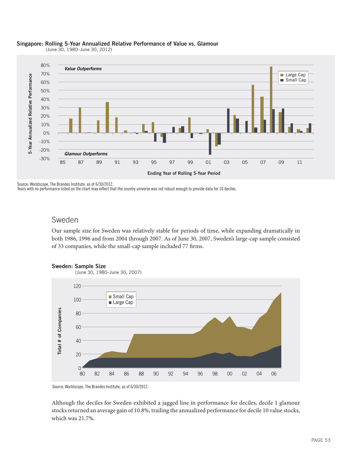

#### **Singapore: Rolling 5-Year Annualized Relative Performance of Value vs. Glamour**

(June 30, 1980–June 30, 2012)

Source: Worldscope, The Brandes Institute; as of 6/30/2012.

Years with no performance listed on the chart may reflect that the country universe was not robust enough to provide data for 10 deciles.

### Sweden

Our sample size for Sweden was relatively stable for periods of time, while expanding dramatically in both 1986, 1996 and from 2004 through 2007. As of June 30, 2007, Sweden's large-cap sample consisted of 33 companies, while the small-cap sample included 77 firms.



**Sweden: Sample Size**

Source: Worldscope, The Brandes Institute; as of 6/30/2012.

Although the deciles for Sweden exhibited a jagged line in performance for deciles, decile 1 glamour stocks returned an average gain of 10.8%, trailing the annualized performance for decile 10 value stocks, which was 21.7%.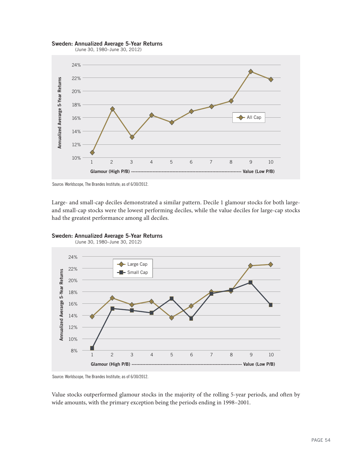#### **Sweden: Annualized Average 5-Year Returns**



(June 30, 1980–June 30, 2012)



Large- and small-cap deciles demonstrated a similar pattern. Decile 1 glamour stocks for both largeand small-cap stocks were the lowest performing deciles, while the value deciles for large-cap stocks



**Sweden: Annualized Average 5-Year Returns**

Source: Worldscope, The Brandes Institute; as of 6/30/2012.

Value stocks outperformed glamour stocks in the majority of the rolling 5-year periods, and often by wide amounts, with the primary exception being the periods ending in 1998–2001.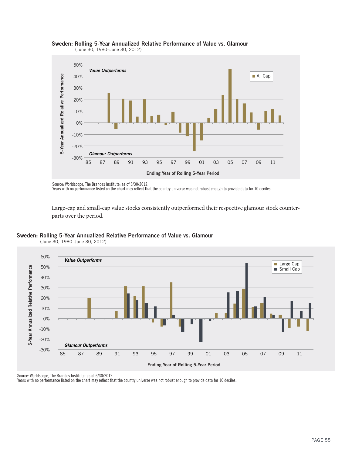

#### **Sweden: Rolling 5-Year Annualized Relative Performance of Value vs. Glamour** (June 30, 1980–June 30, 2012)

Source: Worldscope, The Brandes Institute; as of 6/30/2012.

Years with no performance listed on the chart may reflect that the country universe was not robust enough to provide data for 10 deciles.

Large-cap and small-cap value stocks consistently outperformed their respective glamour stock counter-

#### **Sweden: Rolling 5-Year Annualized Relative Performance of Value vs. Glamour**





Source: Worldscope, The Brandes Institute; as of 6/30/2012.

Years with no performance listed on the chart may reflect that the country universe was not robust enough to provide data for 10 deciles.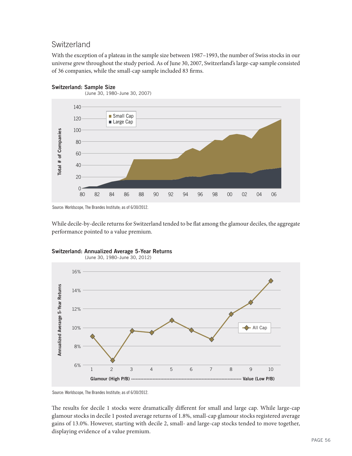### Switzerland

With the exception of a plateau in the sample size between 1987–1993, the number of Swiss stocks in our universe grew throughout the study period. As of June 30, 2007, Switzerland's large-cap sample consisted of 36 companies, while the small-cap sample included 83 firms.



#### **Switzerland: Sample Size**

Source: Worldscope, The Brandes Institute; as of 6/30/2012.

While decile-by-decile returns for Switzerland tended to be flat among the glamour deciles, the aggregate performance pointed to a value premium.



**Switzerland: Annualized Average 5-Year Returns**

Source: Worldscope, The Brandes Institute; as of 6/30/2012.

The results for decile 1 stocks were dramatically different for small and large cap. While large-cap glamour stocks in decile 1 posted average returns of 1.8%, small-cap glamour stocks registered average gains of 13.0%. However, starting with decile 2, small- and large-cap stocks tended to move together, displaying evidence of a value premium.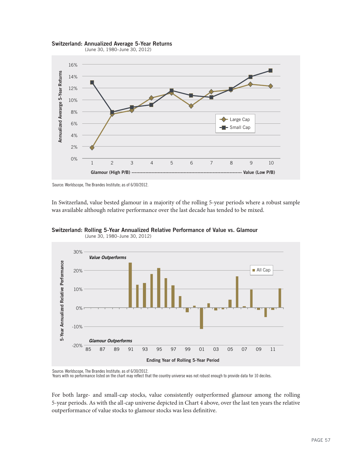



Source: Worldscope, The Brandes Institute; as of 6/30/2012.

In Switzerland, value bested glamour in a majority of the rolling 5-year periods where a robust sample was available although relative performance over the last decade has tended to be mixed.





Source: Worldscope, The Brandes Institute; as of 6/30/2012.<br>Years with no performance listed on the chart may reflect that the country universe was not robust enough to provide data for 10 deciles.

For both large- and small-cap stocks, value consistently outperformed glamour among the rolling 5-year periods. As with the all-cap universe depicted in Chart 4 above, over the last ten years the relative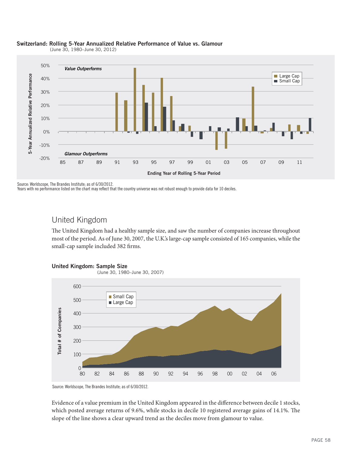

#### **Switzerland: Rolling 5-Year Annualized Relative Performance of Value vs. Glamour**

(June 30, 1980–June 30, 2012)

Source: Worldscope, The Brandes Institute; as of 6/30/2012.

Years with no performance listed on the chart may reflect that the country universe was not robust enough to provide data for 10 deciles.

### United Kingdom

The United Kingdom had a healthy sample size, and saw the number of companies increase throughout most of the period. As of June 30, 2007, the U.K.'s large-cap sample consisted of 165 companies, while the small-cap sample included 382 firms.



Source: Worldscope, The Brandes Institute; as of 6/30/2012.

Evidence of a value premium in the United Kingdom appeared in the difference between decile 1 stocks, which posted average returns of 9.6%, while stocks in decile 10 registered average gains of 14.1%. The slope of the line shows a clear upward trend as the deciles move from glamour to value.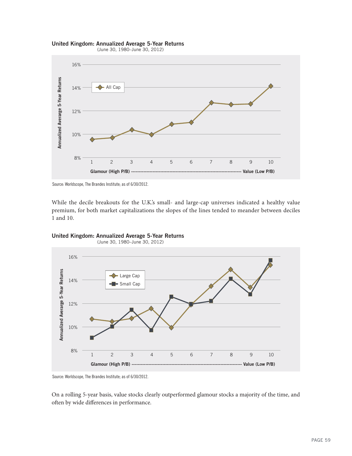





Source: Worldscope, The Brandes Institute; as of 6/30/2012.

While the decile breakouts for the U.K.'s small- and large-cap universes indicated a healthy value premium, for both market capitalizations the slopes of the lines tended to meander between deciles



**United Kingdom: Annualized Average 5-Year Returns** (June 30, 1980–June 30, 2012)

Source: Worldscope, The Brandes Institute; as of 6/30/2012.

On a rolling 5-year basis, value stocks clearly outperformed glamour stocks a majority of the time, and often by wide differences in performance.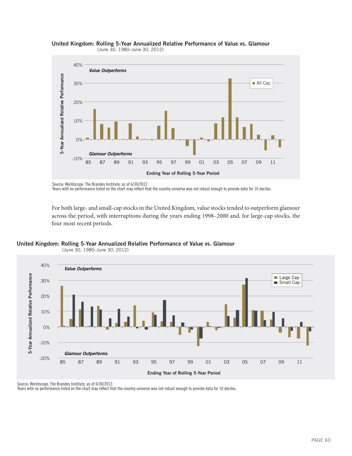



Years with no performance listed on the chart may reflect that the country universe was not robust enough to provide data for 10 deciles.

For both large- and small-cap stocks in the United Kingdom, value stocks tended to outperform glamour across the period, with interruptions during the years ending 1998–2000 and, for large-cap stocks, the

**United Kingdom: Rolling 5-Year Annualized Relative Performance of Value vs. Glamour**



(June 30, 1980–June 30, 2012)

Source: Worldscope, The Brandes Institute; as of 6/30/2012.

Years with no performance listed on the chart may reflect that the country universe was not robust enough to provide data for 10 deciles.

Source: Worldscope, The Brandes Institute; as of 6/30/2012.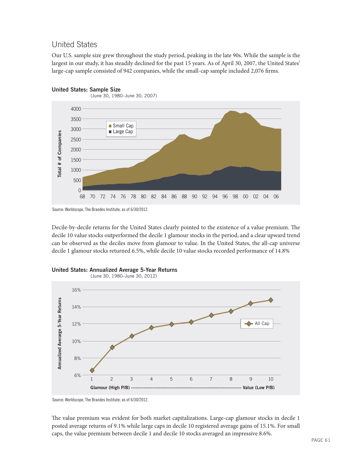### United States

Our U.S. sample size grew throughout the study period, peaking in the late 90s. While the sample is the largest in our study, it has steadily declined for the past 15 years. As of April 30, 2007, the United States' large-cap sample consisted of 942 companies, while the small-cap sample included 2,076 firms.



### **United States: Sample Size**

Source: Worldscope, The Brandes Institute; as of 6/30/2012.

Decile-by-decile returns for the United States clearly pointed to the existence of a value premium. The decile 10 value stocks outperformed the decile 1 glamour stocks in the period, and a clear upward trend can be observed as the deciles move from glamour to value. In the United States, the all-cap universe decile 1 glamour stocks returned 6.5%, while decile 10 value stocks recorded performance of 14.8%



**United States: Annualized Average 5-Year Returns**

Source: Worldscope, The Brandes Institute; as of 6/30/2012.

The value premium was evident for both market capitalizations. Large-cap glamour stocks in decile 1 posted average returns of 9.1% while large caps in decile 10 registered average gains of 15.1%. For small caps, the value premium between decile 1 and decile 10 stocks averaged an impressive 8.6%.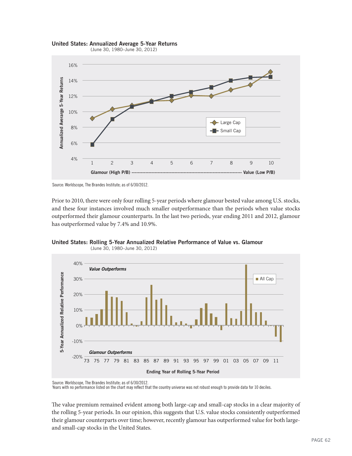



(June 30, 1980–June 30, 2012)



Prior to 2010, there were only four rolling 5-year periods where glamour bested value among U.S. stocks, and these four instances involved much smaller outperformance than the periods when value stocks outperformed their glamour counterparts. In the last two periods, year ending 2011 and 2012, glamour has outperformed value by 7.4% and 10.9%.





Source: Worldscope, The Brandes Institute; as of 6/30/2012.<br>Years with no performance listed on the chart may reflect that the country universe was not robust enough to provide data for 10 deciles.

The value premium remained evident among both large-cap and small-cap stocks in a clear majority of the rolling 5-year periods. In our opinion, this suggests that U.S. value stocks consistently outperformed their glamour counterparts over time; however, recently glamour has outperformed value for both large-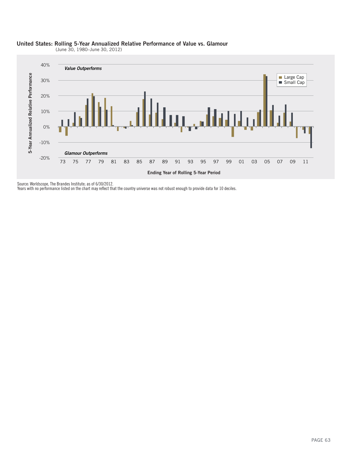

### **United States: Rolling 5-Year Annualized Relative Performance of Value vs. Glamour**

(June 30, 1980–June 30, 2012)

Source: Worldscope, The Brandes Institute; as of 6/30/2012.

Years with no performance listed on the chart may reflect that the country universe was not robust enough to provide data for 10 deciles.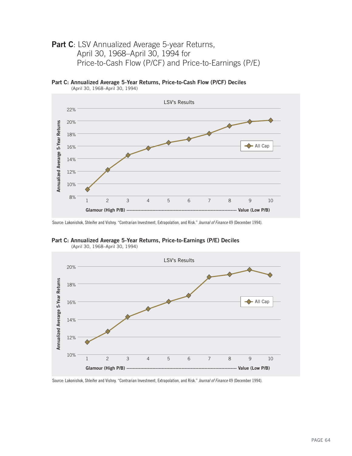### **Part C**: LSV Annualized Average 5-year Returns, April 30, 1968–April 30, 1994 for Price-to-Cash Flow (P/CF) and Price-to-Earnings (P/E)

**Part C: Annualized Average 5-Year Returns, Price-to-Cash Flow (P/CF) Deciles**



(April 30, 1968–April 30, 1994)

Source: Lakonishok, Shleifer and Vishny. "Contrarian Investment, Extrapolation, and Risk." Journal of Finance 49 (December 1994).

**Part C: Annualized Average 5-Year Returns, Price-to-Earnings (P/E) Deciles** (April 30, 1968–April 30, 1994)



Source: Lakonishok, Shleifer and Vishny. "Contrarian Investment, Extrapolation, and Risk." Journal of Finance 49 (December 1994).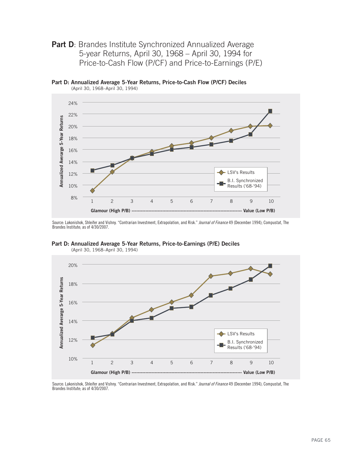**Part D:** Brandes Institute Synchronized Annualized Average 5-year Returns, April 30, 1968 – April 30, 1994 for Price-to-Cash Flow (P/CF) and Price-to-Earnings (P/E)

**Part D: Annualized Average 5-Year Returns, Price-to-Cash Flow (P/CF) Deciles** (April 30, 1968–April 30, 1994)



Source: Lakonishok, Shleifer and Vishny. "Contrarian Investment, Extrapolation, and Risk." Journal of Finance 49 (December 1994); Compustat, The Brandes Institute; as of 4/30/2007.



**Part D: Annualized Average 5-Year Returns, Price-to-Earnings (P/E) Deciles** (April 30, 1968–April 30, 1994)

Source: Lakonishok, Shleifer and Vishny. "Contrarian Investment, Extrapolation, and Risk." Journal of Finance 49 (December 1994); Compustat, The Brandes Institute; as of 4/30/2007.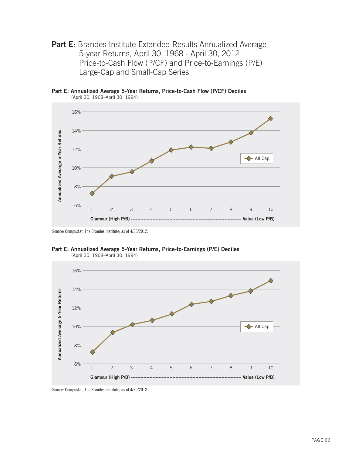**Part E**: Brandes Institute Extended Results Annualized Average 5-year Returns, April 30, 1968 - April 30, 2012 Price-to-Cash Flow (P/CF) and Price-to-Earnings (P/E) Large-Cap and Small-Cap Series

**Part E: Annualized Average 5-Year Returns, Price-to-Cash Flow (P/CF) Deciles** (April 30, 1968–April 30, 1994)



Source: Compustat, The Brandes Institute; as of 4/30/2012.





Source: Compustat, The Brandes Institute; as of 4/30/2012.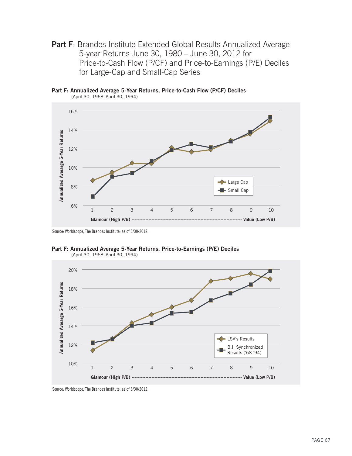**Part F:** Brandes Institute Extended Global Results Annualized Average 5-year Returns June 30, 1980 – June 30, 2012 for Price-to-Cash Flow (P/CF) and Price-to-Earnings (P/E) Deciles for Large-Cap and Small-Cap Series

**Part F: Annualized Average 5-Year Returns, Price-to-Cash Flow (P/CF) Deciles** (April 30, 1968–April 30, 1994)



Source: Worldscope, The Brandes Institute; as of 6/30/2012.





Source: Worldscope, The Brandes Institute; as of 6/30/2012.